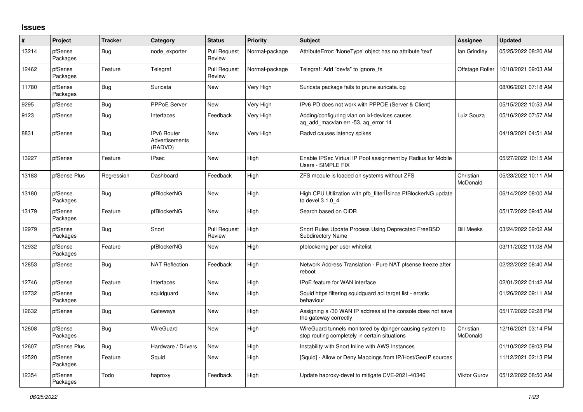## **Issues**

| #     | <b>Project</b>      | <b>Tracker</b> | Category                                        | <b>Status</b>                 | <b>Priority</b> | <b>Subject</b>                                                                                            | Assignee              | <b>Updated</b>      |
|-------|---------------------|----------------|-------------------------------------------------|-------------------------------|-----------------|-----------------------------------------------------------------------------------------------------------|-----------------------|---------------------|
| 13214 | pfSense<br>Packages | Bug            | node exporter                                   | <b>Pull Request</b><br>Review | Normal-package  | AttributeError: 'NoneType' object has no attribute 'text'                                                 | lan Grindley          | 05/25/2022 08:20 AM |
| 12462 | pfSense<br>Packages | Feature        | Telegraf                                        | <b>Pull Request</b><br>Review | Normal-package  | Telegraf: Add "devfs" to ignore fs                                                                        | Offstage Roller       | 10/18/2021 09:03 AM |
| 11780 | pfSense<br>Packages | Bug            | Suricata                                        | <b>New</b>                    | Very High       | Suricata package fails to prune suricata.log                                                              |                       | 08/06/2021 07:18 AM |
| 9295  | pfSense             | Bug            | <b>PPPoE Server</b>                             | <b>New</b>                    | Very High       | IPv6 PD does not work with PPPOE (Server & Client)                                                        |                       | 05/15/2022 10:53 AM |
| 9123  | pfSense             | Bug            | Interfaces                                      | Feedback                      | Very High       | Adding/configuring vlan on ixl-devices causes<br>ag add macylan err -53, ag error 14                      | Luiz Souza            | 05/16/2022 07:57 AM |
| 8831  | pfSense             | Bug            | <b>IPv6 Router</b><br>Advertisements<br>(RADVD) | New                           | Very High       | Radvd causes latency spikes                                                                               |                       | 04/19/2021 04:51 AM |
| 13227 | pfSense             | Feature        | <b>IPsec</b>                                    | New                           | High            | Enable IPSec Virtual IP Pool assignment by Radius for Mobile<br>Users - SIMPLE FIX                        |                       | 05/27/2022 10:15 AM |
| 13183 | pfSense Plus        | Regression     | Dashboard                                       | Feedback                      | High            | ZFS module is loaded on systems without ZFS                                                               | Christian<br>McDonald | 05/23/2022 10:11 AM |
| 13180 | pfSense<br>Packages | Bug            | pfBlockerNG                                     | <b>New</b>                    | High            | High CPU Utilization with pfb filter Usince PfBlockerNG update<br>to devel 3.1.0 4                        |                       | 06/14/2022 08:00 AM |
| 13179 | pfSense<br>Packages | Feature        | pfBlockerNG                                     | <b>New</b>                    | High            | Search based on CIDR                                                                                      |                       | 05/17/2022 09:45 AM |
| 12979 | pfSense<br>Packages | <b>Bug</b>     | Snort                                           | <b>Pull Request</b><br>Review | High            | Snort Rules Update Process Using Deprecated FreeBSD<br><b>Subdirectory Name</b>                           | <b>Bill Meeks</b>     | 03/24/2022 09:02 AM |
| 12932 | pfSense<br>Packages | Feature        | pfBlockerNG                                     | <b>New</b>                    | High            | pfblockerng per user whitelist                                                                            |                       | 03/11/2022 11:08 AM |
| 12853 | pfSense             | Bug            | <b>NAT Reflection</b>                           | Feedback                      | High            | Network Address Translation - Pure NAT pfsense freeze after<br>reboot                                     |                       | 02/22/2022 08:40 AM |
| 12746 | pfSense             | Feature        | Interfaces                                      | <b>New</b>                    | High            | <b>IPoE</b> feature for WAN interface                                                                     |                       | 02/01/2022 01:42 AM |
| 12732 | pfSense<br>Packages | Bug            | squidguard                                      | New                           | High            | Squid https filtering squidguard acl target list - erratic<br>behaviour                                   |                       | 01/26/2022 09:11 AM |
| 12632 | pfSense             | Bug            | Gateways                                        | <b>New</b>                    | High            | Assigning a /30 WAN IP address at the console does not save<br>the gateway correctly                      |                       | 05/17/2022 02:28 PM |
| 12608 | pfSense<br>Packages | Bug            | <b>WireGuard</b>                                | <b>New</b>                    | High            | WireGuard tunnels monitored by dpinger causing system to<br>stop routing completely in certain situations | Christian<br>McDonald | 12/16/2021 03:14 PM |
| 12607 | pfSense Plus        | <b>Bug</b>     | Hardware / Drivers                              | <b>New</b>                    | High            | Instability with Snort Inline with AWS Instances                                                          |                       | 01/10/2022 09:03 PM |
| 12520 | pfSense<br>Packages | Feature        | Squid                                           | <b>New</b>                    | High            | [Squid] - Allow or Deny Mappings from IP/Host/GeoIP sources                                               |                       | 11/12/2021 02:13 PM |
| 12354 | pfSense<br>Packages | Todo           | haproxy                                         | Feedback                      | High            | Update haproxy-devel to mitigate CVE-2021-40346                                                           | Viktor Gurov          | 05/12/2022 08:50 AM |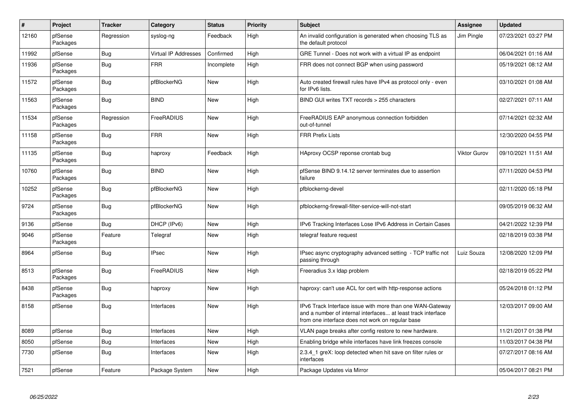| $\pmb{\#}$ | Project             | <b>Tracker</b> | Category                    | <b>Status</b> | <b>Priority</b> | <b>Subject</b>                                                                                                                                                                | Assignee     | <b>Updated</b>      |
|------------|---------------------|----------------|-----------------------------|---------------|-----------------|-------------------------------------------------------------------------------------------------------------------------------------------------------------------------------|--------------|---------------------|
| 12160      | pfSense<br>Packages | Regression     | syslog-ng                   | Feedback      | High            | An invalid configuration is generated when choosing TLS as<br>the default protocol                                                                                            | Jim Pingle   | 07/23/2021 03:27 PM |
| 11992      | pfSense             | Bug            | <b>Virtual IP Addresses</b> | Confirmed     | High            | GRE Tunnel - Does not work with a virtual IP as endpoint                                                                                                                      |              | 06/04/2021 01:16 AM |
| 11936      | pfSense<br>Packages | <b>Bug</b>     | <b>FRR</b>                  | Incomplete    | High            | FRR does not connect BGP when using password                                                                                                                                  |              | 05/19/2021 08:12 AM |
| 11572      | pfSense<br>Packages | Bug            | pfBlockerNG                 | <b>New</b>    | High            | Auto created firewall rules have IPv4 as protocol only - even<br>for IPv6 lists.                                                                                              |              | 03/10/2021 01:08 AM |
| 11563      | pfSense<br>Packages | Bug            | <b>BIND</b>                 | New           | High            | BIND GUI writes TXT records > 255 characters                                                                                                                                  |              | 02/27/2021 07:11 AM |
| 11534      | pfSense<br>Packages | Regression     | FreeRADIUS                  | New           | High            | FreeRADIUS EAP anonymous connection forbidden<br>out-of-tunnel                                                                                                                |              | 07/14/2021 02:32 AM |
| 11158      | pfSense<br>Packages | Bug            | <b>FRR</b>                  | New           | High            | <b>FRR Prefix Lists</b>                                                                                                                                                       |              | 12/30/2020 04:55 PM |
| 11135      | pfSense<br>Packages | <b>Bug</b>     | haproxy                     | Feedback      | High            | HAproxy OCSP reponse crontab bug                                                                                                                                              | Viktor Gurov | 09/10/2021 11:51 AM |
| 10760      | pfSense<br>Packages | <b>Bug</b>     | <b>BIND</b>                 | <b>New</b>    | High            | pfSense BIND 9.14.12 server terminates due to assertion<br>failure                                                                                                            |              | 07/11/2020 04:53 PM |
| 10252      | pfSense<br>Packages | <b>Bug</b>     | pfBlockerNG                 | <b>New</b>    | High            | pfblockerng-devel                                                                                                                                                             |              | 02/11/2020 05:18 PM |
| 9724       | pfSense<br>Packages | <b>Bug</b>     | pfBlockerNG                 | New           | High            | pfblockerng-firewall-filter-service-will-not-start                                                                                                                            |              | 09/05/2019 06:32 AM |
| 9136       | pfSense             | Bug            | DHCP (IPv6)                 | New           | High            | IPv6 Tracking Interfaces Lose IPv6 Address in Certain Cases                                                                                                                   |              | 04/21/2022 12:39 PM |
| 9046       | pfSense<br>Packages | Feature        | Telegraf                    | New           | High            | telegraf feature request                                                                                                                                                      |              | 02/18/2019 03:38 PM |
| 8964       | pfSense             | <b>Bug</b>     | <b>IPsec</b>                | <b>New</b>    | High            | IPsec async cryptography advanced setting - TCP traffic not<br>passing through                                                                                                | Luiz Souza   | 12/08/2020 12:09 PM |
| 8513       | pfSense<br>Packages | Bug            | FreeRADIUS                  | New           | High            | Freeradius 3.x Idap problem                                                                                                                                                   |              | 02/18/2019 05:22 PM |
| 8438       | pfSense<br>Packages | <b>Bug</b>     | haproxy                     | <b>New</b>    | High            | haproxy: can't use ACL for cert with http-response actions                                                                                                                    |              | 05/24/2018 01:12 PM |
| 8158       | pfSense             | <b>Bug</b>     | Interfaces                  | <b>New</b>    | High            | IPv6 Track Interface issue with more than one WAN-Gateway<br>and a number of internal interfaces at least track interface<br>from one interface does not work on regular base |              | 12/03/2017 09:00 AM |
| 8089       | pfSense             | Bug            | Interfaces                  | <b>New</b>    | High            | VLAN page breaks after config restore to new hardware.                                                                                                                        |              | 11/21/2017 01:38 PM |
| 8050       | pfSense             | <b>Bug</b>     | Interfaces                  | New           | High            | Enabling bridge while interfaces have link freezes console                                                                                                                    |              | 11/03/2017 04:38 PM |
| 7730       | pfSense             | Bug            | Interfaces                  | <b>New</b>    | High            | 2.3.4 1 greX: loop detected when hit save on filter rules or<br>interfaces                                                                                                    |              | 07/27/2017 08:16 AM |
| 7521       | pfSense             | Feature        | Package System              | New           | High            | Package Updates via Mirror                                                                                                                                                    |              | 05/04/2017 08:21 PM |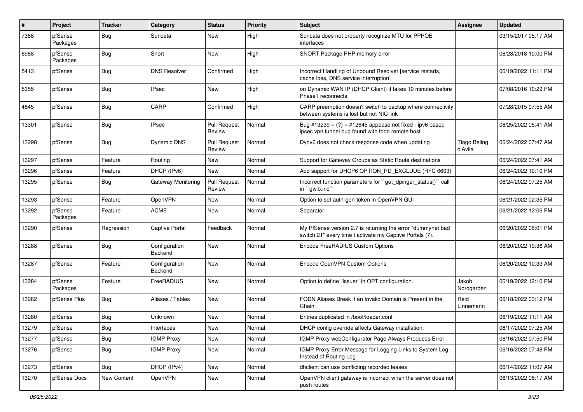| #     | Project             | <b>Tracker</b> | Category                 | <b>Status</b>                 | <b>Priority</b> | <b>Subject</b>                                                                                                          | <b>Assignee</b>                | <b>Updated</b>      |
|-------|---------------------|----------------|--------------------------|-------------------------------|-----------------|-------------------------------------------------------------------------------------------------------------------------|--------------------------------|---------------------|
| 7388  | pfSense<br>Packages | <b>Bug</b>     | Suricata                 | New                           | High            | Suricata does not property recognize MTU for PPPOE<br>interfaces                                                        |                                | 03/15/2017 05:17 AM |
| 6988  | pfSense<br>Packages | <b>Bug</b>     | Snort                    | New                           | High            | SNORT Package PHP memory error                                                                                          |                                | 06/28/2018 10:00 PM |
| 5413  | pfSense             | Bug            | <b>DNS Resolver</b>      | Confirmed                     | High            | Incorrect Handling of Unbound Resolver [service restarts,<br>cache loss, DNS service interruption]                      |                                | 06/19/2022 11:11 PM |
| 5355  | pfSense             | Bug            | <b>IPsec</b>             | New                           | High            | on Dynamic WAN IP (DHCP Client) it takes 10 minutes before<br>Phase1 reconnects                                         |                                | 07/08/2016 10:29 PM |
| 4845  | pfSense             | <b>Bug</b>     | CARP                     | Confirmed                     | High            | CARP preemption doesn't switch to backup where connectivity<br>between systems is lost but not NIC link                 |                                | 07/28/2015 07:55 AM |
| 13301 | pfSense             | Bug            | <b>IPsec</b>             | <b>Pull Request</b><br>Review | Normal          | Bug #13239 = $(?)$ = #12645 appease not fixed - ipv6 based<br>ipsec vpn tunnel bug found with fqdn remote host          |                                | 06/25/2022 05:41 AM |
| 13298 | pfSense             | <b>Bug</b>     | <b>Dynamic DNS</b>       | <b>Pull Request</b><br>Review | Normal          | Dynv6 does not check response code when updating                                                                        | <b>Tiago Beling</b><br>d'Avila | 06/24/2022 07:47 AM |
| 13297 | pfSense             | Feature        | Routing                  | New                           | Normal          | Support for Gateway Groups as Static Route destinations                                                                 |                                | 06/24/2022 07:41 AM |
| 13296 | pfSense             | Feature        | DHCP (IPv6)              | <b>New</b>                    | Normal          | Add support for DHCP6 OPTION_PD_EXCLUDE (RFC 6603)                                                                      |                                | 06/24/2022 10:10 PM |
| 13295 | pfSense             | Bug            | Gateway Monitoring       | <b>Pull Request</b><br>Review | Normal          | Incorrect function parameters for "get_dpinger_status()" call<br>in "gwlb.inc"                                          |                                | 06/24/2022 07:25 AM |
| 13293 | pfSense             | Feature        | OpenVPN                  | New                           | Normal          | Option to set auth-gen-token in OpenVPN GUI                                                                             |                                | 06/21/2022 02:35 PM |
| 13292 | pfSense<br>Packages | Feature        | <b>ACME</b>              | New                           | Normal          | Separator                                                                                                               |                                | 06/21/2022 12:06 PM |
| 13290 | pfSense             | Regression     | <b>Captive Portal</b>    | Feedback                      | Normal          | My PfSense version 2.7 is returning the error "dummynet bad<br>switch 21" every time I activate my Captive Portals (7). |                                | 06/20/2022 06:01 PM |
| 13288 | pfSense             | Bug            | Configuration<br>Backend | <b>New</b>                    | Normal          | Encode FreeRADIUS Custom Options                                                                                        |                                | 06/20/2022 10:36 AM |
| 13287 | pfSense             | Feature        | Configuration<br>Backend | New                           | Normal          | Encode OpenVPN Custom Options                                                                                           |                                | 06/20/2022 10:33 AM |
| 13284 | pfSense<br>Packages | Feature        | <b>FreeRADIUS</b>        | New                           | Normal          | Option to define "Issuer" in OPT configuration.                                                                         | Jakob<br>Nordgarden            | 06/19/2022 12:10 PM |
| 13282 | pfSense Plus        | Bug            | Aliases / Tables         | New                           | Normal          | FQDN Aliases Break if an Invalid Domain is Present in the<br>Chain                                                      | Reid<br>Linnemann              | 06/18/2022 03:12 PM |
| 13280 | pfSense             | <b>Bug</b>     | Unknown                  | New                           | Normal          | Entries duplicated in /boot/loader.conf                                                                                 |                                | 06/19/2022 11:11 AM |
| 13279 | pfSense             | Bug            | Interfaces               | New                           | Normal          | DHCP config override affects Gateway installation.                                                                      |                                | 06/17/2022 07:25 AM |
| 13277 | pfSense             | Bug            | <b>IGMP Proxy</b>        | New                           | Normal          | IGMP Proxy webConfigurator Page Always Produces Error                                                                   |                                | 06/16/2022 07:50 PM |
| 13276 | pfSense             | <b>Bug</b>     | <b>IGMP Proxy</b>        | New                           | Normal          | IGMP Proxy Error Message for Logging Links to System Log<br>Instead of Routing Log                                      |                                | 06/16/2022 07:48 PM |
| 13273 | pfSense             | <b>Bug</b>     | DHCP (IPv4)              | New                           | Normal          | dhclient can use conflicting recorded leases                                                                            |                                | 06/14/2022 11:07 AM |
| 13270 | pfSense Docs        | New Content    | OpenVPN                  | New                           | Normal          | OpenVPN client gateway is incorrect when the server does not<br>push routes                                             |                                | 06/13/2022 08:17 AM |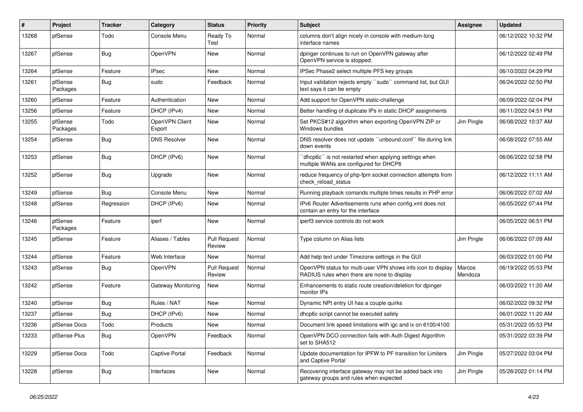| ∦     | Project             | <b>Tracker</b> | Category                 | <b>Status</b>                 | <b>Priority</b> | <b>Subject</b>                                                                                              | <b>Assignee</b>          | <b>Updated</b>      |
|-------|---------------------|----------------|--------------------------|-------------------------------|-----------------|-------------------------------------------------------------------------------------------------------------|--------------------------|---------------------|
| 13268 | pfSense             | Todo           | Console Menu             | Ready To<br>Test              | Normal          | columns don't align nicely in console with medium-long<br>interface names                                   |                          | 06/12/2022 10:32 PM |
| 13267 | pfSense             | <b>Bug</b>     | OpenVPN                  | New                           | Normal          | dpinger continues to run on OpenVPN gateway after<br>OpenVPN service is stopped.                            |                          | 06/12/2022 02:49 PM |
| 13264 | pfSense             | Feature        | <b>IPsec</b>             | <b>New</b>                    | Normal          | IPSec Phase2 select multiple PFS key groups                                                                 |                          | 06/10/2022 04:29 PM |
| 13261 | pfSense<br>Packages | <b>Bug</b>     | sudo                     | Feedback                      | Normal          | Input validation rejects empty "sudo" command list, but GUI<br>text says it can be empty                    |                          | 06/24/2022 02:50 PM |
| 13260 | pfSense             | Feature        | Authentication           | New                           | Normal          | Add support for OpenVPN static-challenge                                                                    |                          | 06/09/2022 02:04 PM |
| 13256 | pfSense             | Feature        | DHCP (IPv4)              | New                           | Normal          | Better handling of duplicate IPs in static DHCP assignments                                                 |                          | 06/11/2022 04:51 PM |
| 13255 | pfSense<br>Packages | Todo           | OpenVPN Client<br>Export | New                           | Normal          | Set PKCS#12 algorithm when exporting OpenVPN ZIP or<br>Windows bundles                                      | Jim Pingle               | 06/08/2022 10:37 AM |
| 13254 | pfSense             | <b>Bug</b>     | <b>DNS Resolver</b>      | New                           | Normal          | DNS resolver does not update "unbound.conf" file during link<br>down events                                 |                          | 06/08/2022 07:55 AM |
| 13253 | pfSense             | <b>Bug</b>     | DHCP (IPv6)              | New                           | Normal          | 'dhcp6c'' is not restarted when applying settings when<br>multiple WANs are configured for DHCP6            |                          | 06/06/2022 02:58 PM |
| 13252 | pfSense             | <b>Bug</b>     | Upgrade                  | <b>New</b>                    | Normal          | reduce frequency of php-fpm socket connection attempts from<br>check reload status                          |                          | 06/12/2022 11:11 AM |
| 13249 | pfSense             | Bug            | Console Menu             | New                           | Normal          | Running playback comands multiple times results in PHP error                                                |                          | 06/06/2022 07:02 AM |
| 13248 | pfSense             | Regression     | DHCP (IPv6)              | New                           | Normal          | IPv6 Router Advertisements runs when config.xml does not<br>contain an entry for the interface              |                          | 06/05/2022 07:44 PM |
| 13246 | pfSense<br>Packages | Feature        | iperf                    | <b>New</b>                    | Normal          | iperf3 service controls do not work                                                                         |                          | 06/05/2022 06:51 PM |
| 13245 | pfSense             | Feature        | Aliases / Tables         | <b>Pull Request</b><br>Review | Normal          | Type column on Alias lists                                                                                  | Jim Pingle               | 06/06/2022 07:09 AM |
| 13244 | pfSense             | Feature        | Web Interface            | New                           | Normal          | Add help text under Timezone settings in the GUI                                                            |                          | 06/03/2022 01:00 PM |
| 13243 | pfSense             | <b>Bug</b>     | OpenVPN                  | <b>Pull Request</b><br>Review | Normal          | OpenVPN status for multi-user VPN shows info icon to display<br>RADIUS rules when there are none to display | <b>Marcos</b><br>Mendoza | 06/19/2022 05:53 PM |
| 13242 | pfSense             | Feature        | Gateway Monitoring       | New                           | Normal          | Enhancements to static route creation/deletion for dpinger<br>monitor IPs                                   |                          | 06/03/2022 11:20 AM |
| 13240 | pfSense             | <b>Bug</b>     | Rules / NAT              | New                           | Normal          | Dynamic NPt entry UI has a couple quirks                                                                    |                          | 06/02/2022 09:32 PM |
| 13237 | pfSense             | <b>Bug</b>     | DHCP (IPv6)              | New                           | Normal          | dhcp6c script cannot be executed safely                                                                     |                          | 06/01/2022 11:20 AM |
| 13236 | pfSense Docs        | Todo           | Products                 | New                           | Normal          | Document link speed limitations with igc and ix on 6100/4100                                                |                          | 05/31/2022 05:53 PM |
| 13233 | pfSense Plus        | <b>Bug</b>     | OpenVPN                  | Feedback                      | Normal          | OpenVPN DCO connection fails with Auth Digest Algorithm<br>set to SHA512                                    |                          | 05/31/2022 03:39 PM |
| 13229 | pfSense Docs        | Todo           | <b>Captive Portal</b>    | Feedback                      | Normal          | Update documentation for IPFW to PF transition for Limiters<br>and Captive Portal                           | Jim Pingle               | 05/27/2022 03:04 PM |
| 13228 | pfSense             | <b>Bug</b>     | Interfaces               | New                           | Normal          | Recovering interface gateway may not be added back into<br>gateway groups and rules when expected           | Jim Pingle               | 05/28/2022 01:14 PM |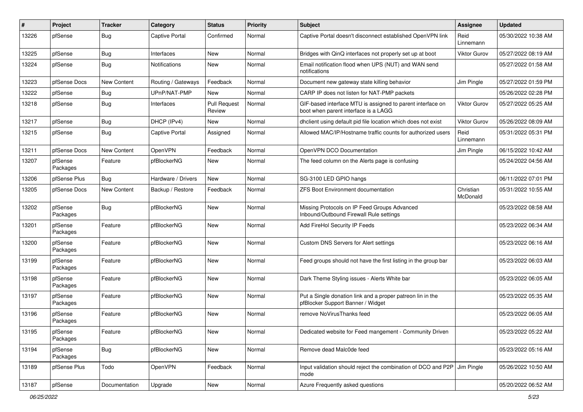| #     | Project             | <b>Tracker</b>     | Category              | <b>Status</b>                 | Priority | <b>Subject</b>                                                                                     | <b>Assignee</b>       | <b>Updated</b>      |
|-------|---------------------|--------------------|-----------------------|-------------------------------|----------|----------------------------------------------------------------------------------------------------|-----------------------|---------------------|
| 13226 | pfSense             | <b>Bug</b>         | <b>Captive Portal</b> | Confirmed                     | Normal   | Captive Portal doesn't disconnect established OpenVPN link                                         | Reid<br>Linnemann     | 05/30/2022 10:38 AM |
| 13225 | pfSense             | Bug                | Interfaces            | New                           | Normal   | Bridges with QinQ interfaces not properly set up at boot                                           | <b>Viktor Gurov</b>   | 05/27/2022 08:19 AM |
| 13224 | pfSense             | <b>Bug</b>         | <b>Notifications</b>  | <b>New</b>                    | Normal   | Email notification flood when UPS (NUT) and WAN send<br>notifications                              |                       | 05/27/2022 01:58 AM |
| 13223 | pfSense Docs        | New Content        | Routing / Gateways    | Feedback                      | Normal   | Document new gateway state killing behavior                                                        | Jim Pingle            | 05/27/2022 01:59 PM |
| 13222 | pfSense             | <b>Bug</b>         | UPnP/NAT-PMP          | New                           | Normal   | CARP IP does not listen for NAT-PMP packets                                                        |                       | 05/26/2022 02:28 PM |
| 13218 | pfSense             | <b>Bug</b>         | Interfaces            | <b>Pull Request</b><br>Review | Normal   | GIF-based interface MTU is assigned to parent interface on<br>boot when parent interface is a LAGG | Viktor Gurov          | 05/27/2022 05:25 AM |
| 13217 | pfSense             | Bug                | DHCP (IPv4)           | New                           | Normal   | dholient using default pid file location which does not exist                                      | <b>Viktor Gurov</b>   | 05/26/2022 08:09 AM |
| 13215 | pfSense             | <b>Bug</b>         | <b>Captive Portal</b> | Assigned                      | Normal   | Allowed MAC/IP/Hostname traffic counts for authorized users                                        | Reid<br>Linnemann     | 05/31/2022 05:31 PM |
| 13211 | pfSense Docs        | <b>New Content</b> | OpenVPN               | Feedback                      | Normal   | OpenVPN DCO Documentation                                                                          | Jim Pingle            | 06/15/2022 10:42 AM |
| 13207 | pfSense<br>Packages | Feature            | pfBlockerNG           | New                           | Normal   | The feed column on the Alerts page is confusing                                                    |                       | 05/24/2022 04:56 AM |
| 13206 | pfSense Plus        | <b>Bug</b>         | Hardware / Drivers    | <b>New</b>                    | Normal   | SG-3100 LED GPIO hangs                                                                             |                       | 06/11/2022 07:01 PM |
| 13205 | pfSense Docs        | New Content        | Backup / Restore      | Feedback                      | Normal   | <b>ZFS Boot Environment documentation</b>                                                          | Christian<br>McDonald | 05/31/2022 10:55 AM |
| 13202 | pfSense<br>Packages | Bug                | pfBlockerNG           | <b>New</b>                    | Normal   | Missing Protocols on IP Feed Groups Advanced<br>Inbound/Outbound Firewall Rule settings            |                       | 05/23/2022 08:58 AM |
| 13201 | pfSense<br>Packages | Feature            | pfBlockerNG           | New                           | Normal   | Add FireHol Security IP Feeds                                                                      |                       | 05/23/2022 06:34 AM |
| 13200 | pfSense<br>Packages | Feature            | pfBlockerNG           | <b>New</b>                    | Normal   | Custom DNS Servers for Alert settings                                                              |                       | 05/23/2022 06:16 AM |
| 13199 | pfSense<br>Packages | Feature            | pfBlockerNG           | <b>New</b>                    | Normal   | Feed groups should not have the first listing in the group bar                                     |                       | 05/23/2022 06:03 AM |
| 13198 | pfSense<br>Packages | Feature            | pfBlockerNG           | <b>New</b>                    | Normal   | Dark Theme Styling issues - Alerts White bar                                                       |                       | 05/23/2022 06:05 AM |
| 13197 | pfSense<br>Packages | Feature            | pfBlockerNG           | New                           | Normal   | Put a Single donation link and a proper patreon lin in the<br>pfBlocker Support Banner / Widget    |                       | 05/23/2022 05:35 AM |
| 13196 | pfSense<br>Packages | Feature            | pfBlockerNG           | New                           | Normal   | remove NoVirusThanks feed                                                                          |                       | 05/23/2022 06:05 AM |
| 13195 | pfSense<br>Packages | Feature            | pfBlockerNG           | New                           | Normal   | Dedicated website for Feed mangement - Community Driven                                            |                       | 05/23/2022 05:22 AM |
| 13194 | pfSense<br>Packages | Bug                | pfBlockerNG           | New                           | Normal   | Remove dead Malc0de feed                                                                           |                       | 05/23/2022 05:16 AM |
| 13189 | pfSense Plus        | Todo               | OpenVPN               | Feedback                      | Normal   | Input validation should reject the combination of DCO and P2P<br>mode                              | Jim Pingle            | 05/26/2022 10:50 AM |
| 13187 | pfSense             | Documentation      | Upgrade               | New                           | Normal   | Azure Frequently asked questions                                                                   |                       | 05/20/2022 06:52 AM |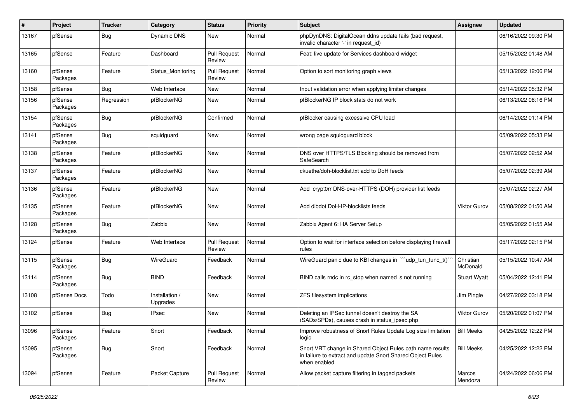| #     | Project             | <b>Tracker</b> | Category                   | <b>Status</b>                 | <b>Priority</b> | <b>Subject</b>                                                                                                                          | <b>Assignee</b>       | <b>Updated</b>      |
|-------|---------------------|----------------|----------------------------|-------------------------------|-----------------|-----------------------------------------------------------------------------------------------------------------------------------------|-----------------------|---------------------|
| 13167 | pfSense             | <b>Bug</b>     | Dynamic DNS                | New                           | Normal          | phpDynDNS: DigitalOcean ddns update fails (bad request,<br>invalid character '-' in request_id)                                         |                       | 06/16/2022 09:30 PM |
| 13165 | pfSense             | Feature        | Dashboard                  | <b>Pull Request</b><br>Review | Normal          | Feat: live update for Services dashboard widget                                                                                         |                       | 05/15/2022 01:48 AM |
| 13160 | pfSense<br>Packages | Feature        | Status Monitoring          | <b>Pull Request</b><br>Review | Normal          | Option to sort monitoring graph views                                                                                                   |                       | 05/13/2022 12:06 PM |
| 13158 | pfSense             | Bug            | Web Interface              | New                           | Normal          | Input validation error when applying limiter changes                                                                                    |                       | 05/14/2022 05:32 PM |
| 13156 | pfSense<br>Packages | Regression     | pfBlockerNG                | New                           | Normal          | pfBlockerNG IP block stats do not work                                                                                                  |                       | 06/13/2022 08:16 PM |
| 13154 | pfSense<br>Packages | <b>Bug</b>     | pfBlockerNG                | Confirmed                     | Normal          | pfBlocker causing excessive CPU load                                                                                                    |                       | 06/14/2022 01:14 PM |
| 13141 | pfSense<br>Packages | <b>Bug</b>     | squidguard                 | New                           | Normal          | wrong page squidguard block                                                                                                             |                       | 05/09/2022 05:33 PM |
| 13138 | pfSense<br>Packages | Feature        | pfBlockerNG                | New                           | Normal          | DNS over HTTPS/TLS Blocking should be removed from<br>SafeSearch                                                                        |                       | 05/07/2022 02:52 AM |
| 13137 | pfSense<br>Packages | Feature        | pfBlockerNG                | <b>New</b>                    | Normal          | ckuethe/doh-blocklist.txt add to DoH feeds                                                                                              |                       | 05/07/2022 02:39 AM |
| 13136 | pfSense<br>Packages | Feature        | pfBlockerNG                | <b>New</b>                    | Normal          | Add crypt0rr DNS-over-HTTPS (DOH) provider list feeds                                                                                   |                       | 05/07/2022 02:27 AM |
| 13135 | pfSense<br>Packages | Feature        | pfBlockerNG                | New                           | Normal          | Add dibdot DoH-IP-blocklists feeds                                                                                                      | <b>Viktor Gurov</b>   | 05/08/2022 01:50 AM |
| 13128 | pfSense<br>Packages | <b>Bug</b>     | Zabbix                     | New                           | Normal          | Zabbix Agent 6: HA Server Setup                                                                                                         |                       | 05/05/2022 01:55 AM |
| 13124 | pfSense             | Feature        | Web Interface              | <b>Pull Request</b><br>Review | Normal          | Option to wait for interface selection before displaying firewall<br>rules                                                              |                       | 05/17/2022 02:15 PM |
| 13115 | pfSense<br>Packages | <b>Bug</b>     | WireGuard                  | Feedback                      | Normal          | WireGuard panic due to KBI changes in ```udp_tun_func_t()`                                                                              | Christian<br>McDonald | 05/15/2022 10:47 AM |
| 13114 | pfSense<br>Packages | <b>Bug</b>     | <b>BIND</b>                | Feedback                      | Normal          | BIND calls rndc in rc_stop when named is not running                                                                                    | <b>Stuart Wyatt</b>   | 05/04/2022 12:41 PM |
| 13108 | pfSense Docs        | Todo           | Installation /<br>Upgrades | New                           | Normal          | ZFS filesystem implications                                                                                                             | Jim Pingle            | 04/27/2022 03:18 PM |
| 13102 | pfSense             | <b>Bug</b>     | <b>IPsec</b>               | <b>New</b>                    | Normal          | Deleting an IPSec tunnel doesn't destroy the SA<br>(SADs/SPDs), causes crash in status_ipsec.php                                        | Viktor Gurov          | 05/20/2022 01:07 PM |
| 13096 | pfSense<br>Packages | Feature        | Snort                      | Feedback                      | Normal          | Improve robustness of Snort Rules Update Log size limitation<br>logic                                                                   | <b>Bill Meeks</b>     | 04/25/2022 12:22 PM |
| 13095 | pfSense<br>Packages | <b>Bug</b>     | Snort                      | Feedback                      | Normal          | Snort VRT change in Shared Object Rules path name results<br>in failure to extract and update Snort Shared Object Rules<br>when enabled | <b>Bill Meeks</b>     | 04/25/2022 12:22 PM |
| 13094 | pfSense             | Feature        | Packet Capture             | <b>Pull Request</b><br>Review | Normal          | Allow packet capture filtering in tagged packets                                                                                        | Marcos<br>Mendoza     | 04/24/2022 06:06 PM |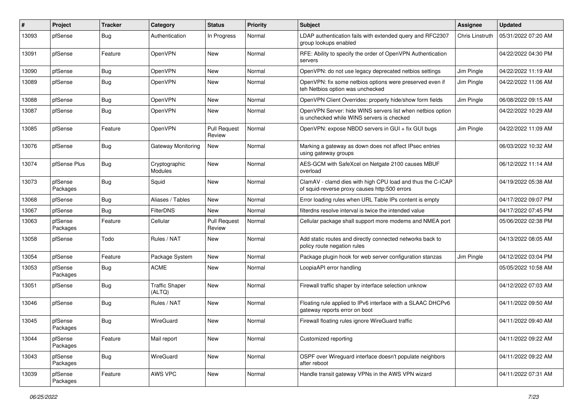| ∦     | Project             | <b>Tracker</b> | Category                        | <b>Status</b>                 | <b>Priority</b> | <b>Subject</b>                                                                                              | Assignee               | <b>Updated</b>      |
|-------|---------------------|----------------|---------------------------------|-------------------------------|-----------------|-------------------------------------------------------------------------------------------------------------|------------------------|---------------------|
| 13093 | pfSense             | <b>Bug</b>     | Authentication                  | In Progress                   | Normal          | LDAP authentication fails with extended query and RFC2307<br>group lookups enabled                          | <b>Chris Linstruth</b> | 05/31/2022 07:20 AM |
| 13091 | pfSense             | Feature        | OpenVPN                         | New                           | Normal          | RFE: Ability to specify the order of OpenVPN Authentication<br>servers                                      |                        | 04/22/2022 04:30 PM |
| 13090 | pfSense             | <b>Bug</b>     | OpenVPN                         | <b>New</b>                    | Normal          | OpenVPN: do not use legacy deprecated netbios settings                                                      | Jim Pingle             | 04/22/2022 11:19 AM |
| 13089 | pfSense             | <b>Bug</b>     | OpenVPN                         | New                           | Normal          | OpenVPN: fix some netbios options were preserved even if<br>teh Netbios option was unchecked                | Jim Pingle             | 04/22/2022 11:06 AM |
| 13088 | pfSense             | <b>Bug</b>     | OpenVPN                         | <b>New</b>                    | Normal          | OpenVPN Client Overrides: properly hide/show form fields                                                    | Jim Pingle             | 06/08/2022 09:15 AM |
| 13087 | pfSense             | <b>Bug</b>     | OpenVPN                         | New                           | Normal          | OpenVPN Server: hide WINS servers list when netbios option<br>is unchecked while WINS servers is checked    |                        | 04/22/2022 10:29 AM |
| 13085 | pfSense             | Feature        | OpenVPN                         | <b>Pull Request</b><br>Review | Normal          | OpenVPN: expose NBDD servers in GUI + fix GUI bugs                                                          | Jim Pingle             | 04/22/2022 11:09 AM |
| 13076 | pfSense             | <b>Bug</b>     | Gateway Monitoring              | New                           | Normal          | Marking a gateway as down does not affect IPsec entries<br>using gateway groups                             |                        | 06/03/2022 10:32 AM |
| 13074 | pfSense Plus        | <b>Bug</b>     | Cryptographic<br>Modules        | New                           | Normal          | AES-GCM with SafeXcel on Netgate 2100 causes MBUF<br>overload                                               |                        | 06/12/2022 11:14 AM |
| 13073 | pfSense<br>Packages | <b>Bug</b>     | Squid                           | New                           | Normal          | ClamAV - clamd dies with high CPU load and thus the C-ICAP<br>of squid-reverse proxy causes http:500 errors |                        | 04/19/2022 05:38 AM |
| 13068 | pfSense             | <b>Bug</b>     | Aliases / Tables                | <b>New</b>                    | Normal          | Error loading rules when URL Table IPs content is empty                                                     |                        | 04/17/2022 09:07 PM |
| 13067 | pfSense             | Bug            | <b>FilterDNS</b>                | New                           | Normal          | filterdns resolve interval is twice the intended value                                                      |                        | 04/17/2022 07:45 PM |
| 13063 | pfSense<br>Packages | Feature        | Cellular                        | <b>Pull Request</b><br>Review | Normal          | Cellular package shall support more modems and NMEA port                                                    |                        | 05/06/2022 02:38 PM |
| 13058 | pfSense             | Todo           | Rules / NAT                     | New                           | Normal          | Add static routes and directly connected networks back to<br>policy route negation rules                    |                        | 04/13/2022 08:05 AM |
| 13054 | pfSense             | Feature        | Package System                  | New                           | Normal          | Package plugin hook for web server configuration stanzas                                                    | Jim Pingle             | 04/12/2022 03:04 PM |
| 13053 | pfSense<br>Packages | <b>Bug</b>     | <b>ACME</b>                     | New                           | Normal          | LoopiaAPI error handling                                                                                    |                        | 05/05/2022 10:58 AM |
| 13051 | pfSense             | <b>Bug</b>     | <b>Traffic Shaper</b><br>(ALTQ) | New                           | Normal          | Firewall traffic shaper by interface selection unknow                                                       |                        | 04/12/2022 07:03 AM |
| 13046 | pfSense             | <b>Bug</b>     | Rules / NAT                     | <b>New</b>                    | Normal          | Floating rule applied to IPv6 interface with a SLAAC DHCPv6<br>gateway reports error on boot                |                        | 04/11/2022 09:50 AM |
| 13045 | pfSense<br>Packages | <b>Bug</b>     | WireGuard                       | <b>New</b>                    | Normal          | Firewall floating rules ignore WireGuard traffic                                                            |                        | 04/11/2022 09:40 AM |
| 13044 | pfSense<br>Packages | Feature        | Mail report                     | New                           | Normal          | Customized reporting                                                                                        |                        | 04/11/2022 09:22 AM |
| 13043 | pfSense<br>Packages | Bug            | WireGuard                       | New                           | Normal          | OSPF over Wireguard interface doesn't populate neighbors<br>after reboot                                    |                        | 04/11/2022 09:22 AM |
| 13039 | pfSense<br>Packages | Feature        | AWS VPC                         | New                           | Normal          | Handle transit gateway VPNs in the AWS VPN wizard                                                           |                        | 04/11/2022 07:31 AM |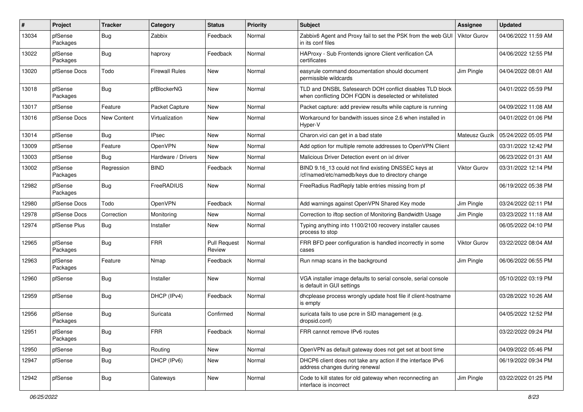| #     | Project             | <b>Tracker</b> | Category              | <b>Status</b>                 | <b>Priority</b> | <b>Subject</b>                                                                                                     | Assignee            | <b>Updated</b>      |
|-------|---------------------|----------------|-----------------------|-------------------------------|-----------------|--------------------------------------------------------------------------------------------------------------------|---------------------|---------------------|
| 13034 | pfSense<br>Packages | <b>Bug</b>     | Zabbix                | Feedback                      | Normal          | Zabbix6 Agent and Proxy fail to set the PSK from the web GUI<br>in its conf files                                  | <b>Viktor Gurov</b> | 04/06/2022 11:59 AM |
| 13022 | pfSense<br>Packages | <b>Bug</b>     | haproxy               | Feedback                      | Normal          | HAProxy - Sub Frontends ignore Client verification CA<br>certificates                                              |                     | 04/06/2022 12:55 PM |
| 13020 | pfSense Docs        | Todo           | <b>Firewall Rules</b> | New                           | Normal          | easyrule command documentation should document<br>permissible wildcards                                            | Jim Pingle          | 04/04/2022 08:01 AM |
| 13018 | pfSense<br>Packages | <b>Bug</b>     | pfBlockerNG           | New                           | Normal          | TLD and DNSBL Safesearch DOH conflict disables TLD block<br>when conflicting DOH FQDN is deselected or whitelisted |                     | 04/01/2022 05:59 PM |
| 13017 | pfSense             | Feature        | Packet Capture        | <b>New</b>                    | Normal          | Packet capture: add preview results while capture is running                                                       |                     | 04/09/2022 11:08 AM |
| 13016 | pfSense Docs        | New Content    | Virtualization        | New                           | Normal          | Workaround for bandwith issues since 2.6 when installed in<br>Hyper-V                                              |                     | 04/01/2022 01:06 PM |
| 13014 | pfSense             | <b>Bug</b>     | <b>IPsec</b>          | New                           | Normal          | Charon.vici can get in a bad state                                                                                 | Mateusz Guzik       | 05/24/2022 05:05 PM |
| 13009 | pfSense             | Feature        | OpenVPN               | New                           | Normal          | Add option for multiple remote addresses to OpenVPN Client                                                         |                     | 03/31/2022 12:42 PM |
| 13003 | pfSense             | Bug            | Hardware / Drivers    | New                           | Normal          | Malicious Driver Detection event on ixl driver                                                                     |                     | 06/23/2022 01:31 AM |
| 13002 | pfSense<br>Packages | Regression     | <b>BIND</b>           | Feedback                      | Normal          | BIND 9.16_13 could not find existing DNSSEC keys at<br>/cf/named/etc/namedb/keys due to directory change           | Viktor Gurov        | 03/31/2022 12:14 PM |
| 12982 | pfSense<br>Packages | <b>Bug</b>     | FreeRADIUS            | <b>New</b>                    | Normal          | FreeRadius RadReply table entries missing from pf                                                                  |                     | 06/19/2022 05:38 PM |
| 12980 | pfSense Docs        | Todo           | OpenVPN               | Feedback                      | Normal          | Add warnings against OpenVPN Shared Key mode                                                                       | Jim Pingle          | 03/24/2022 02:11 PM |
| 12978 | pfSense Docs        | Correction     | Monitoring            | New                           | Normal          | Correction to iftop section of Monitoring Bandwidth Usage                                                          | Jim Pingle          | 03/23/2022 11:18 AM |
| 12974 | pfSense Plus        | <b>Bug</b>     | Installer             | New                           | Normal          | Typing anything into 1100/2100 recovery installer causes<br>process to stop                                        |                     | 06/05/2022 04:10 PM |
| 12965 | pfSense<br>Packages | <b>Bug</b>     | <b>FRR</b>            | <b>Pull Request</b><br>Review | Normal          | FRR BFD peer configuration is handled incorrectly in some<br>cases                                                 | <b>Viktor Gurov</b> | 03/22/2022 08:04 AM |
| 12963 | pfSense<br>Packages | Feature        | Nmap                  | Feedback                      | Normal          | Run nmap scans in the background                                                                                   | Jim Pingle          | 06/06/2022 06:55 PM |
| 12960 | pfSense             | <b>Bug</b>     | Installer             | <b>New</b>                    | Normal          | VGA installer image defaults to serial console, serial console<br>is default in GUI settings                       |                     | 05/10/2022 03:19 PM |
| 12959 | pfSense             | <b>Bug</b>     | DHCP (IPv4)           | Feedback                      | Normal          | dhcplease process wrongly update host file if client-hostname<br>is empty                                          |                     | 03/28/2022 10:26 AM |
| 12956 | pfSense<br>Packages | <b>Bug</b>     | Suricata              | Confirmed                     | Normal          | suricata fails to use pcre in SID management (e.g.<br>dropsid.conf)                                                |                     | 04/05/2022 12:52 PM |
| 12951 | pfSense<br>Packages | <b>Bug</b>     | <b>FRR</b>            | Feedback                      | Normal          | FRR cannot remove IPv6 routes                                                                                      |                     | 03/22/2022 09:24 PM |
| 12950 | pfSense             | <b>Bug</b>     | Routing               | New                           | Normal          | OpenVPN as default gateway does not get set at boot time                                                           |                     | 04/09/2022 05:46 PM |
| 12947 | pfSense             | <b>Bug</b>     | DHCP (IPv6)           | New                           | Normal          | DHCP6 client does not take any action if the interface IPv6<br>address changes during renewal                      |                     | 06/19/2022 09:34 PM |
| 12942 | pfSense             | <b>Bug</b>     | Gateways              | New                           | Normal          | Code to kill states for old gateway when reconnecting an<br>interface is incorrect                                 | Jim Pingle          | 03/22/2022 01:25 PM |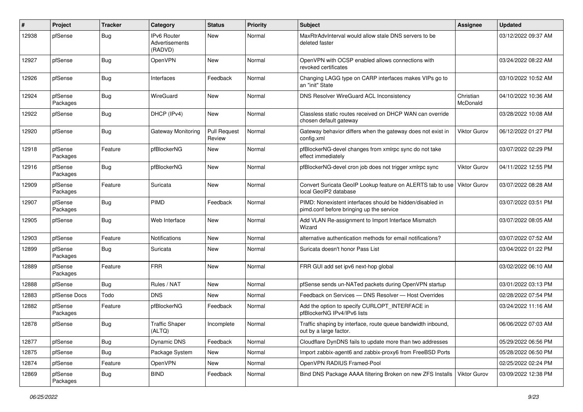| ∦     | Project             | <b>Tracker</b>   | Category                                        | <b>Status</b>                 | <b>Priority</b> | <b>Subject</b>                                                                                        | <b>Assignee</b>       | <b>Updated</b>      |
|-------|---------------------|------------------|-------------------------------------------------|-------------------------------|-----------------|-------------------------------------------------------------------------------------------------------|-----------------------|---------------------|
| 12938 | pfSense             | <b>Bug</b>       | <b>IPv6 Router</b><br>Advertisements<br>(RADVD) | <b>New</b>                    | Normal          | MaxRtrAdvInterval would allow stale DNS servers to be<br>deleted faster                               |                       | 03/12/2022 09:37 AM |
| 12927 | pfSense             | <b>Bug</b>       | OpenVPN                                         | <b>New</b>                    | Normal          | OpenVPN with OCSP enabled allows connections with<br>revoked certificates                             |                       | 03/24/2022 08:22 AM |
| 12926 | pfSense             | <b>Bug</b>       | Interfaces                                      | Feedback                      | Normal          | Changing LAGG type on CARP interfaces makes VIPs go to<br>an "init" State                             |                       | 03/10/2022 10:52 AM |
| 12924 | pfSense<br>Packages | <b>Bug</b>       | WireGuard                                       | New                           | Normal          | DNS Resolver WireGuard ACL Inconsistency                                                              | Christian<br>McDonald | 04/10/2022 10:36 AM |
| 12922 | pfSense             | <b>Bug</b>       | DHCP (IPv4)                                     | <b>New</b>                    | Normal          | Classless static routes received on DHCP WAN can override<br>chosen default gateway                   |                       | 03/28/2022 10:08 AM |
| 12920 | pfSense             | <b>Bug</b>       | Gateway Monitoring                              | <b>Pull Request</b><br>Review | Normal          | Gateway behavior differs when the gateway does not exist in<br>config.xml                             | <b>Viktor Gurov</b>   | 06/12/2022 01:27 PM |
| 12918 | pfSense<br>Packages | Feature          | pfBlockerNG                                     | New                           | Normal          | pfBlockerNG-devel changes from xmlrpc sync do not take<br>effect immediately                          |                       | 03/07/2022 02:29 PM |
| 12916 | pfSense<br>Packages | <b>Bug</b>       | pfBlockerNG                                     | New                           | Normal          | pfBlockerNG-devel cron job does not trigger xmlrpc sync                                               | Viktor Gurov          | 04/11/2022 12:55 PM |
| 12909 | pfSense<br>Packages | Feature          | Suricata                                        | New                           | Normal          | Convert Suricata GeoIP Lookup feature on ALERTS tab to use<br>local GeoIP2 database                   | Viktor Gurov          | 03/07/2022 08:28 AM |
| 12907 | pfSense<br>Packages | <b>Bug</b>       | PIMD                                            | Feedback                      | Normal          | PIMD: Nonexistent interfaces should be hidden/disabled in<br>pimd.conf before bringing up the service |                       | 03/07/2022 03:51 PM |
| 12905 | pfSense             | <b>Bug</b>       | Web Interface                                   | <b>New</b>                    | Normal          | Add VLAN Re-assignment to Import Interface Mismatch<br>Wizard                                         |                       | 03/07/2022 08:05 AM |
| 12903 | pfSense             | Feature          | <b>Notifications</b>                            | New                           | Normal          | alternative authentication methods for email notifications?                                           |                       | 03/07/2022 07:52 AM |
| 12899 | pfSense<br>Packages | <b>Bug</b>       | Suricata                                        | New                           | Normal          | Suricata doesn't honor Pass List                                                                      |                       | 03/04/2022 01:22 PM |
| 12889 | pfSense<br>Packages | Feature          | <b>FRR</b>                                      | New                           | Normal          | FRR GUI add set ipv6 next-hop global                                                                  |                       | 03/02/2022 06:10 AM |
| 12888 | pfSense             | <b>Bug</b>       | Rules / NAT                                     | New                           | Normal          | pfSense sends un-NATed packets during OpenVPN startup                                                 |                       | 03/01/2022 03:13 PM |
| 12883 | pfSense Docs        | Todo             | <b>DNS</b>                                      | New                           | Normal          | Feedback on Services - DNS Resolver - Host Overrides                                                  |                       | 02/28/2022 07:54 PM |
| 12882 | pfSense<br>Packages | Feature          | pfBlockerNG                                     | Feedback                      | Normal          | Add the option to specify CURLOPT_INTERFACE in<br>pfBlockerNG IPv4/IPv6 lists                         |                       | 03/24/2022 11:16 AM |
| 12878 | pfSense             | Bug              | <b>Traffic Shaper</b><br>(ALTQ)                 | Incomplete                    | Normal          | Traffic shaping by interface, route queue bandwidth inbound,<br>out by a large factor.                |                       | 06/06/2022 07:03 AM |
| 12877 | pfSense             | Bug              | Dynamic DNS                                     | Feedback                      | Normal          | Cloudflare DynDNS fails to update more than two addresses                                             |                       | 05/29/2022 06:56 PM |
| 12875 | pfSense             | Bug              | Package System                                  | New                           | Normal          | Import zabbix-agent6 and zabbix-proxy6 from FreeBSD Ports                                             |                       | 05/28/2022 06:50 PM |
| 12874 | pfSense             | Feature          | <b>OpenVPN</b>                                  | New                           | Normal          | OpenVPN RADIUS Framed-Pool                                                                            |                       | 02/25/2022 02:24 PM |
| 12869 | pfSense<br>Packages | <sub>I</sub> Bug | <b>BIND</b>                                     | Feedback                      | Normal          | Bind DNS Package AAAA filtering Broken on new ZFS Installs                                            | Viktor Gurov          | 03/09/2022 12:38 PM |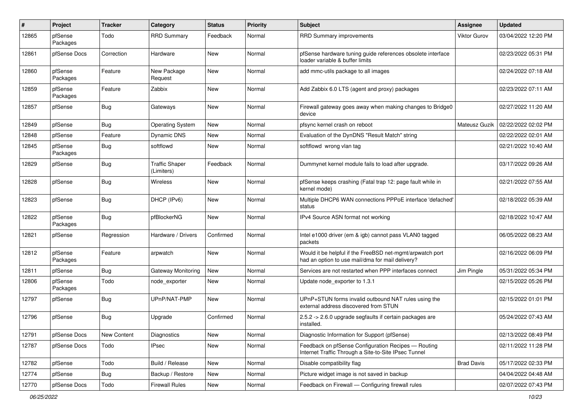| #     | Project             | <b>Tracker</b> | Category                            | <b>Status</b> | <b>Priority</b> | <b>Subject</b>                                                                                                | <b>Assignee</b>      | <b>Updated</b>      |
|-------|---------------------|----------------|-------------------------------------|---------------|-----------------|---------------------------------------------------------------------------------------------------------------|----------------------|---------------------|
| 12865 | pfSense<br>Packages | Todo           | <b>RRD Summary</b>                  | Feedback      | Normal          | RRD Summary improvements                                                                                      | Viktor Gurov         | 03/04/2022 12:20 PM |
| 12861 | pfSense Docs        | Correction     | Hardware                            | New           | Normal          | pfSense hardware tuning guide references obsolete interface<br>loader variable & buffer limits                |                      | 02/23/2022 05:31 PM |
| 12860 | pfSense<br>Packages | Feature        | New Package<br>Request              | <b>New</b>    | Normal          | add mmc-utils package to all images                                                                           |                      | 02/24/2022 07:18 AM |
| 12859 | pfSense<br>Packages | Feature        | Zabbix                              | New           | Normal          | Add Zabbix 6.0 LTS (agent and proxy) packages                                                                 |                      | 02/23/2022 07:11 AM |
| 12857 | pfSense             | Bug            | Gateways                            | <b>New</b>    | Normal          | Firewall gateway goes away when making changes to Bridge0<br>device                                           |                      | 02/27/2022 11:20 AM |
| 12849 | pfSense             | <b>Bug</b>     | <b>Operating System</b>             | <b>New</b>    | Normal          | pfsync kernel crash on reboot                                                                                 | <b>Mateusz Guzik</b> | 02/22/2022 02:02 PM |
| 12848 | pfSense             | Feature        | <b>Dynamic DNS</b>                  | New           | Normal          | Evaluation of the DynDNS "Result Match" string                                                                |                      | 02/22/2022 02:01 AM |
| 12845 | pfSense<br>Packages | Bug            | softflowd                           | New           | Normal          | softflowd wrong vlan tag                                                                                      |                      | 02/21/2022 10:40 AM |
| 12829 | pfSense             | Bug            | <b>Traffic Shaper</b><br>(Limiters) | Feedback      | Normal          | Dummynet kernel module fails to load after upgrade.                                                           |                      | 03/17/2022 09:26 AM |
| 12828 | pfSense             | Bug            | Wireless                            | New           | Normal          | pfSense keeps crashing (Fatal trap 12: page fault while in<br>kernel mode)                                    |                      | 02/21/2022 07:55 AM |
| 12823 | pfSense             | Bug            | DHCP (IPv6)                         | New           | Normal          | Multiple DHCP6 WAN connections PPPoE interface 'defached'<br>status                                           |                      | 02/18/2022 05:39 AM |
| 12822 | pfSense<br>Packages | Bug            | pfBlockerNG                         | New           | Normal          | IPv4 Source ASN format not working                                                                            |                      | 02/18/2022 10:47 AM |
| 12821 | pfSense             | Regression     | Hardware / Drivers                  | Confirmed     | Normal          | Intel e1000 driver (em & igb) cannot pass VLAN0 tagged<br>packets                                             |                      | 06/05/2022 08:23 AM |
| 12812 | pfSense<br>Packages | Feature        | arpwatch                            | New           | Normal          | Would it be helpful if the FreeBSD net-mgmt/arpwatch port<br>had an option to use mail/dma for mail delivery? |                      | 02/16/2022 06:09 PM |
| 12811 | pfSense             | <b>Bug</b>     | Gateway Monitoring                  | <b>New</b>    | Normal          | Services are not restarted when PPP interfaces connect                                                        | Jim Pingle           | 05/31/2022 05:34 PM |
| 12806 | pfSense<br>Packages | Todo           | node exporter                       | New           | Normal          | Update node_exporter to 1.3.1                                                                                 |                      | 02/15/2022 05:26 PM |
| 12797 | pfSense             | Bug            | UPnP/NAT-PMP                        | New           | Normal          | UPnP+STUN forms invalid outbound NAT rules using the<br>external address discovered from STUN                 |                      | 02/15/2022 01:01 PM |
| 12796 | pfSense             | <b>Bug</b>     | Upgrade                             | Confirmed     | Normal          | 2.5.2 -> 2.6.0 upgrade segfaults if certain packages are<br>installed.                                        |                      | 05/24/2022 07:43 AM |
| 12791 | pfSense Docs        | New Content    | Diagnostics                         | New           | Normal          | Diagnostic Information for Support (pfSense)                                                                  |                      | 02/13/2022 08:49 PM |
| 12787 | pfSense Docs        | Todo           | <b>IPsec</b>                        | New           | Normal          | Feedback on pfSense Configuration Recipes - Routing<br>Internet Traffic Through a Site-to-Site IPsec Tunnel   |                      | 02/11/2022 11:28 PM |
| 12782 | pfSense             | Todo           | Build / Release                     | <b>New</b>    | Normal          | Disable compatibility flag                                                                                    | <b>Brad Davis</b>    | 05/17/2022 02:33 PM |
| 12774 | pfSense             | Bug            | Backup / Restore                    | New           | Normal          | Picture widget image is not saved in backup                                                                   |                      | 04/04/2022 04:48 AM |
| 12770 | pfSense Docs        | Todo           | <b>Firewall Rules</b>               | New           | Normal          | Feedback on Firewall - Configuring firewall rules                                                             |                      | 02/07/2022 07:43 PM |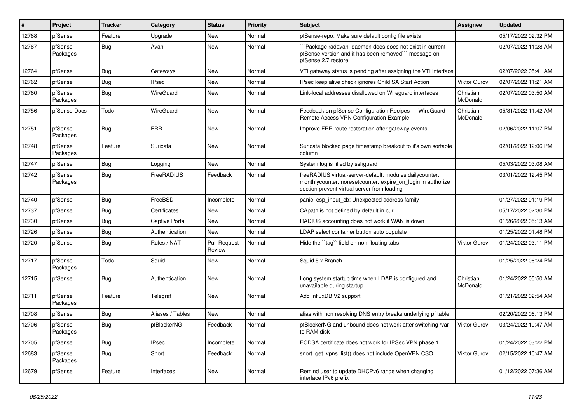| $\#$  | Project             | <b>Tracker</b> | Category              | <b>Status</b>                 | Priority | Subject                                                                                                                                                                 | <b>Assignee</b>       | <b>Updated</b>      |
|-------|---------------------|----------------|-----------------------|-------------------------------|----------|-------------------------------------------------------------------------------------------------------------------------------------------------------------------------|-----------------------|---------------------|
| 12768 | pfSense             | Feature        | Upgrade               | New                           | Normal   | pfSense-repo: Make sure default config file exists                                                                                                                      |                       | 05/17/2022 02:32 PM |
| 12767 | pfSense<br>Packages | Bug            | Avahi                 | New                           | Normal   | `Package radavahi-daemon does does not exist in current<br>pfSense version and it has been removed"" message on<br>pfSense 2.7 restore                                  |                       | 02/07/2022 11:28 AM |
| 12764 | pfSense             | Bug            | Gateways              | New                           | Normal   | VTI gateway status is pending after assigning the VTI interface                                                                                                         |                       | 02/07/2022 05:41 AM |
| 12762 | pfSense             | Bug            | <b>IPsec</b>          | New                           | Normal   | IPsec keep alive check ignores Child SA Start Action                                                                                                                    | <b>Viktor Gurov</b>   | 02/07/2022 11:21 AM |
| 12760 | pfSense<br>Packages | Bug            | WireGuard             | New                           | Normal   | Link-local addresses disallowed on Wireguard interfaces                                                                                                                 | Christian<br>McDonald | 02/07/2022 03:50 AM |
| 12756 | pfSense Docs        | Todo           | WireGuard             | New                           | Normal   | Feedback on pfSense Configuration Recipes - WireGuard<br>Remote Access VPN Configuration Example                                                                        | Christian<br>McDonald | 05/31/2022 11:42 AM |
| 12751 | pfSense<br>Packages | Bug            | <b>FRR</b>            | New                           | Normal   | Improve FRR route restoration after gateway events                                                                                                                      |                       | 02/06/2022 11:07 PM |
| 12748 | pfSense<br>Packages | Feature        | Suricata              | New                           | Normal   | Suricata blocked page timestamp breakout to it's own sortable<br>column                                                                                                 |                       | 02/01/2022 12:06 PM |
| 12747 | pfSense             | Bug            | Logging               | <b>New</b>                    | Normal   | System log is filled by sshguard                                                                                                                                        |                       | 05/03/2022 03:08 AM |
| 12742 | pfSense<br>Packages | Bug            | FreeRADIUS            | Feedback                      | Normal   | freeRADIUS virtual-server-default: modules dailycounter,<br>monthlycounter, noresetcounter, expire_on_login in authorize<br>section prevent virtual server from loading |                       | 03/01/2022 12:45 PM |
| 12740 | pfSense             | Bug            | FreeBSD               | Incomplete                    | Normal   | panic: esp input cb: Unexpected address family                                                                                                                          |                       | 01/27/2022 01:19 PM |
| 12737 | pfSense             | Bug            | Certificates          | New                           | Normal   | CApath is not defined by default in curl                                                                                                                                |                       | 05/17/2022 02:30 PM |
| 12730 | pfSense             | Bug            | <b>Captive Portal</b> | New                           | Normal   | RADIUS accounting does not work if WAN is down                                                                                                                          |                       | 01/26/2022 05:13 AM |
| 12726 | pfSense             | Bug            | Authentication        | New                           | Normal   | LDAP select container button auto populate                                                                                                                              |                       | 01/25/2022 01:48 PM |
| 12720 | pfSense             | Bug            | Rules / NAT           | <b>Pull Request</b><br>Review | Normal   | Hide the "tag" field on non-floating tabs                                                                                                                               | Viktor Gurov          | 01/24/2022 03:11 PM |
| 12717 | pfSense<br>Packages | Todo           | Squid                 | <b>New</b>                    | Normal   | Squid 5.x Branch                                                                                                                                                        |                       | 01/25/2022 06:24 PM |
| 12715 | pfSense             | Bug            | Authentication        | <b>New</b>                    | Normal   | Long system startup time when LDAP is configured and<br>unavailable during startup.                                                                                     | Christian<br>McDonald | 01/24/2022 05:50 AM |
| 12711 | pfSense<br>Packages | Feature        | Telegraf              | New                           | Normal   | Add InfluxDB V2 support                                                                                                                                                 |                       | 01/21/2022 02:54 AM |
| 12708 | pfSense             | Bug            | Aliases / Tables      | New                           | Normal   | alias with non resolving DNS entry breaks underlying pf table                                                                                                           |                       | 02/20/2022 06:13 PM |
| 12706 | pfSense<br>Packages | <b>Bug</b>     | pfBlockerNG           | Feedback                      | Normal   | pfBlockerNG and unbound does not work after switching /var<br>to RAM disk                                                                                               | <b>Viktor Gurov</b>   | 03/24/2022 10:47 AM |
| 12705 | pfSense             | <b>Bug</b>     | <b>IPsec</b>          | Incomplete                    | Normal   | ECDSA certificate does not work for IPSec VPN phase 1                                                                                                                   |                       | 01/24/2022 03:22 PM |
| 12683 | pfSense<br>Packages | Bug            | Snort                 | Feedback                      | Normal   | snort_get_vpns_list() does not include OpenVPN CSO                                                                                                                      | <b>Viktor Gurov</b>   | 02/15/2022 10:47 AM |
| 12679 | pfSense             | Feature        | Interfaces            | New                           | Normal   | Remind user to update DHCPv6 range when changing<br>interface IPv6 prefix                                                                                               |                       | 01/12/2022 07:36 AM |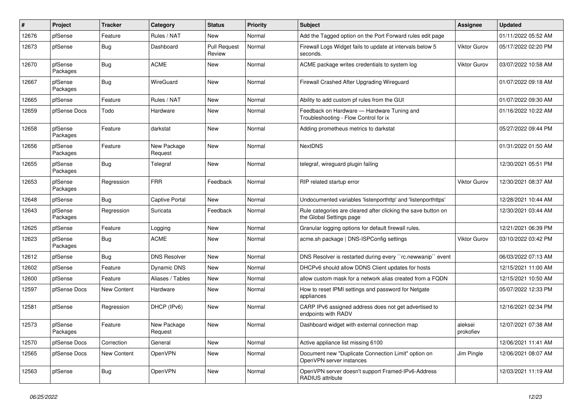| #     | Project             | <b>Tracker</b> | Category               | <b>Status</b>                 | Priority | <b>Subject</b>                                                                            | <b>Assignee</b>      | <b>Updated</b>      |
|-------|---------------------|----------------|------------------------|-------------------------------|----------|-------------------------------------------------------------------------------------------|----------------------|---------------------|
| 12676 | pfSense             | Feature        | Rules / NAT            | New                           | Normal   | Add the Tagged option on the Port Forward rules edit page                                 |                      | 01/11/2022 05:52 AM |
| 12673 | pfSense             | Bug            | Dashboard              | <b>Pull Request</b><br>Review | Normal   | Firewall Logs Widget fails to update at intervals below 5<br>seconds.                     | <b>Viktor Gurov</b>  | 05/17/2022 02:20 PM |
| 12670 | pfSense<br>Packages | <b>Bug</b>     | <b>ACME</b>            | New                           | Normal   | ACME package writes credentials to system log                                             | <b>Viktor Gurov</b>  | 03/07/2022 10:58 AM |
| 12667 | pfSense<br>Packages | <b>Bug</b>     | WireGuard              | <b>New</b>                    | Normal   | Firewall Crashed After Upgrading Wireguard                                                |                      | 01/07/2022 09:18 AM |
| 12665 | pfSense             | Feature        | Rules / NAT            | <b>New</b>                    | Normal   | Ability to add custom pf rules from the GUI                                               |                      | 01/07/2022 09:30 AM |
| 12659 | pfSense Docs        | Todo           | Hardware               | New                           | Normal   | Feedback on Hardware - Hardware Tuning and<br>Troubleshooting - Flow Control for ix       |                      | 01/16/2022 10:22 AM |
| 12658 | pfSense<br>Packages | Feature        | darkstat               | New                           | Normal   | Adding prometheus metrics to darkstat                                                     |                      | 05/27/2022 09:44 PM |
| 12656 | pfSense<br>Packages | Feature        | New Package<br>Request | New                           | Normal   | <b>NextDNS</b>                                                                            |                      | 01/31/2022 01:50 AM |
| 12655 | pfSense<br>Packages | <b>Bug</b>     | Telegraf               | New                           | Normal   | telegraf, wireguard plugin failing                                                        |                      | 12/30/2021 05:51 PM |
| 12653 | pfSense<br>Packages | Regression     | <b>FRR</b>             | Feedback                      | Normal   | RIP related startup error                                                                 | <b>Viktor Gurov</b>  | 12/30/2021 08:37 AM |
| 12648 | pfSense             | Bug            | <b>Captive Portal</b>  | <b>New</b>                    | Normal   | Undocumented variables 'listenporthttp' and 'listenporthttps'                             |                      | 12/28/2021 10:44 AM |
| 12643 | pfSense<br>Packages | Regression     | Suricata               | Feedback                      | Normal   | Rule categories are cleared after clicking the save button on<br>the Global Settings page |                      | 12/30/2021 03:44 AM |
| 12625 | pfSense             | Feature        | Logging                | <b>New</b>                    | Normal   | Granular logging options for default firewall rules.                                      |                      | 12/21/2021 06:39 PM |
| 12623 | pfSense<br>Packages | <b>Bug</b>     | <b>ACME</b>            | New                           | Normal   | acme.sh package   DNS-ISPConfig settings                                                  | Viktor Gurov         | 03/10/2022 03:42 PM |
| 12612 | pfSense             | Bug            | <b>DNS Resolver</b>    | New                           | Normal   | DNS Resolver is restarted during every "rc.newwanip" event                                |                      | 06/03/2022 07:13 AM |
| 12602 | pfSense             | Feature        | <b>Dynamic DNS</b>     | New                           | Normal   | DHCPv6 should allow DDNS Client updates for hosts                                         |                      | 12/15/2021 11:00 AM |
| 12600 | pfSense             | Feature        | Aliases / Tables       | New                           | Normal   | allow custom mask for a network alias created from a FQDN                                 |                      | 12/15/2021 10:50 AM |
| 12597 | pfSense Docs        | New Content    | Hardware               | New                           | Normal   | How to reset IPMI settings and password for Netgate<br>appliances                         |                      | 05/07/2022 12:33 PM |
| 12581 | pfSense             | Regression     | DHCP (IPv6)            | New                           | Normal   | CARP IPv6 assigned address does not get advertised to<br>endpoints with RADV              |                      | 12/16/2021 02:34 PM |
| 12573 | pfSense<br>Packages | Feature        | New Package<br>Request | New                           | Normal   | Dashboard widget with external connection map                                             | aleksei<br>prokofiev | 12/07/2021 07:38 AM |
| 12570 | pfSense Docs        | Correction     | General                | <b>New</b>                    | Normal   | Active appliance list missing 6100                                                        |                      | 12/06/2021 11:41 AM |
| 12565 | pfSense Docs        | New Content    | OpenVPN                | New                           | Normal   | Document new "Duplicate Connection Limit" option on<br>OpenVPN server instances           | Jim Pingle           | 12/06/2021 08:07 AM |
| 12563 | pfSense             | <b>Bug</b>     | OpenVPN                | New                           | Normal   | OpenVPN server doesn't support Framed-IPv6-Address<br>RADIUS attribute                    |                      | 12/03/2021 11:19 AM |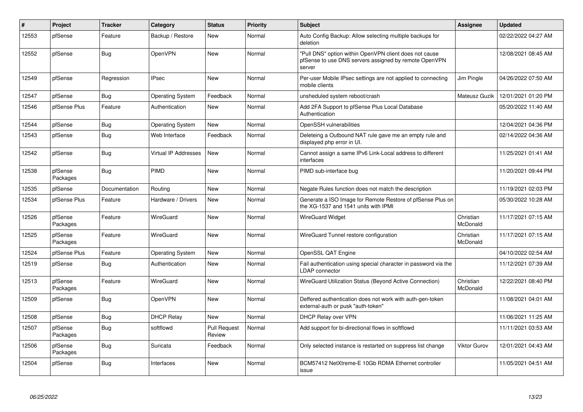| $\#$  | <b>Project</b>      | <b>Tracker</b> | Category             | <b>Status</b>                 | <b>Priority</b> | <b>Subject</b>                                                                                                            | Assignee              | <b>Updated</b>      |
|-------|---------------------|----------------|----------------------|-------------------------------|-----------------|---------------------------------------------------------------------------------------------------------------------------|-----------------------|---------------------|
| 12553 | pfSense             | Feature        | Backup / Restore     | New                           | Normal          | Auto Config Backup: Allow selecting multiple backups for<br>deletion                                                      |                       | 02/22/2022 04:27 AM |
| 12552 | pfSense             | Bug            | OpenVPN              | New                           | Normal          | "Pull DNS" option within OpenVPN client does not cause<br>pfSense to use DNS servers assigned by remote OpenVPN<br>server |                       | 12/08/2021 08:45 AM |
| 12549 | pfSense             | Regression     | <b>IPsec</b>         | <b>New</b>                    | Normal          | Per-user Mobile IPsec settings are not applied to connecting<br>mobile clients                                            | Jim Pingle            | 04/26/2022 07:50 AM |
| 12547 | pfSense             | Bug            | Operating System     | Feedback                      | Normal          | unsheduled system reboot/crash                                                                                            | Mateusz Guzik         | 12/01/2021 01:20 PM |
| 12546 | pfSense Plus        | Feature        | Authentication       | <b>New</b>                    | Normal          | Add 2FA Support to pfSense Plus Local Database<br>Authentication                                                          |                       | 05/20/2022 11:40 AM |
| 12544 | pfSense             | Bug            | Operating System     | New                           | Normal          | OpenSSH vulnerabilities                                                                                                   |                       | 12/04/2021 04:36 PM |
| 12543 | pfSense             | Bug            | Web Interface        | Feedback                      | Normal          | Deleteing a Outbound NAT rule gave me an empty rule and<br>displayed php error in UI.                                     |                       | 02/14/2022 04:36 AM |
| 12542 | pfSense             | Bug            | Virtual IP Addresses | <b>New</b>                    | Normal          | Cannot assign a same IPv6 Link-Local address to different<br>interfaces                                                   |                       | 11/25/2021 01:41 AM |
| 12538 | pfSense<br>Packages | Bug            | PIMD                 | New                           | Normal          | PIMD sub-interface bug                                                                                                    |                       | 11/20/2021 09:44 PM |
| 12535 | pfSense             | Documentation  | Routing              | <b>New</b>                    | Normal          | Negate Rules function does not match the description                                                                      |                       | 11/19/2021 02:03 PM |
| 12534 | pfSense Plus        | Feature        | Hardware / Drivers   | <b>New</b>                    | Normal          | Generate a ISO Image for Remote Restore of pfSense Plus on<br>the XG-1537 and 1541 units with IPMI                        |                       | 05/30/2022 10:28 AM |
| 12526 | pfSense<br>Packages | Feature        | <b>WireGuard</b>     | <b>New</b>                    | Normal          | <b>WireGuard Widget</b>                                                                                                   | Christian<br>McDonald | 11/17/2021 07:15 AM |
| 12525 | pfSense<br>Packages | Feature        | <b>WireGuard</b>     | New                           | Normal          | WireGuard Tunnel restore configuration                                                                                    | Christian<br>McDonald | 11/17/2021 07:15 AM |
| 12524 | pfSense Plus        | Feature        | Operating System     | New                           | Normal          | OpenSSL QAT Engine                                                                                                        |                       | 04/10/2022 02:54 AM |
| 12519 | pfSense             | Bug            | Authentication       | New                           | Normal          | Fail authentication using special character in password via the<br><b>LDAP</b> connector                                  |                       | 11/12/2021 07:39 AM |
| 12513 | pfSense<br>Packages | Feature        | WireGuard            | <b>New</b>                    | Normal          | WireGuard Utilization Status (Beyond Active Connection)                                                                   | Christian<br>McDonald | 12/22/2021 08:40 PM |
| 12509 | pfSense             | Bug            | OpenVPN              | <b>New</b>                    | Normal          | Deffered authentication does not work with auth-gen-token<br>external-auth or pusk "auth-token"                           |                       | 11/08/2021 04:01 AM |
| 12508 | pfSense             | Bug            | <b>DHCP Relay</b>    | <b>New</b>                    | Normal          | DHCP Relay over VPN                                                                                                       |                       | 11/06/2021 11:25 AM |
| 12507 | pfSense<br>Packages | Bug            | softflowd            | <b>Pull Request</b><br>Review | Normal          | Add support for bi-directional flows in softflowd                                                                         |                       | 11/11/2021 03:53 AM |
| 12506 | pfSense<br>Packages | Bug            | Suricata             | Feedback                      | Normal          | Only selected instance is restarted on suppress list change                                                               | Viktor Gurov          | 12/01/2021 04:43 AM |
| 12504 | pfSense             | <b>Bug</b>     | Interfaces           | <b>New</b>                    | Normal          | BCM57412 NetXtreme-E 10Gb RDMA Ethernet controller<br>issue                                                               |                       | 11/05/2021 04:51 AM |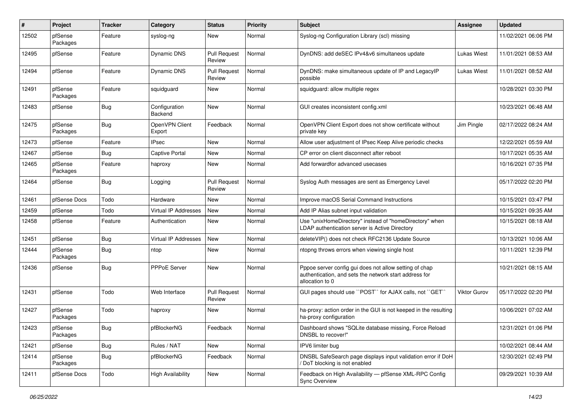| #     | Project             | <b>Tracker</b> | Category                    | <b>Status</b>                 | <b>Priority</b> | <b>Subject</b>                                                                                                                      | <b>Assignee</b> | <b>Updated</b>      |
|-------|---------------------|----------------|-----------------------------|-------------------------------|-----------------|-------------------------------------------------------------------------------------------------------------------------------------|-----------------|---------------------|
| 12502 | pfSense<br>Packages | Feature        | syslog-ng                   | <b>New</b>                    | Normal          | Syslog-ng Configuration Library (scl) missing                                                                                       |                 | 11/02/2021 06:06 PM |
| 12495 | pfSense             | Feature        | Dynamic DNS                 | <b>Pull Request</b><br>Review | Normal          | DynDNS: add deSEC IPv4&v6 simultaneos update                                                                                        | Lukas Wiest     | 11/01/2021 08:53 AM |
| 12494 | pfSense             | Feature        | <b>Dynamic DNS</b>          | <b>Pull Request</b><br>Review | Normal          | DynDNS: make simultaneous update of IP and LegacyIP<br>possible                                                                     | Lukas Wiest     | 11/01/2021 08:52 AM |
| 12491 | pfSense<br>Packages | Feature        | squidguard                  | New                           | Normal          | squidguard: allow multiple regex                                                                                                    |                 | 10/28/2021 03:30 PM |
| 12483 | pfSense             | <b>Bug</b>     | Configuration<br>Backend    | New                           | Normal          | GUI creates inconsistent config.xml                                                                                                 |                 | 10/23/2021 06:48 AM |
| 12475 | pfSense<br>Packages | Bug            | OpenVPN Client<br>Export    | Feedback                      | Normal          | OpenVPN Client Export does not show certificate without<br>private key                                                              | Jim Pingle      | 02/17/2022 08:24 AM |
| 12473 | pfSense             | Feature        | <b>IPsec</b>                | New                           | Normal          | Allow user adjustment of IPsec Keep Alive periodic checks                                                                           |                 | 12/22/2021 05:59 AM |
| 12467 | pfSense             | <b>Bug</b>     | Captive Portal              | New                           | Normal          | CP error on client disconnect after reboot                                                                                          |                 | 10/17/2021 05:35 AM |
| 12465 | pfSense<br>Packages | Feature        | haproxy                     | New                           | Normal          | Add forwardfor advanced usecases                                                                                                    |                 | 10/16/2021 07:35 PM |
| 12464 | pfSense             | <b>Bug</b>     | Logging                     | <b>Pull Request</b><br>Review | Normal          | Syslog Auth messages are sent as Emergency Level                                                                                    |                 | 05/17/2022 02:20 PM |
| 12461 | pfSense Docs        | Todo           | Hardware                    | New                           | Normal          | Improve macOS Serial Command Instructions                                                                                           |                 | 10/15/2021 03:47 PM |
| 12459 | pfSense             | Todo           | <b>Virtual IP Addresses</b> | New                           | Normal          | Add IP Alias subnet input validation                                                                                                |                 | 10/15/2021 09:35 AM |
| 12458 | pfSense             | Feature        | Authentication              | New                           | Normal          | Use "unixHomeDirectory" instead of "homeDirectory" when<br>LDAP authentication server is Active Directory                           |                 | 10/15/2021 08:18 AM |
| 12451 | pfSense             | Bug            | Virtual IP Addresses        | <b>New</b>                    | Normal          | deleteVIP() does not check RFC2136 Update Source                                                                                    |                 | 10/13/2021 10:06 AM |
| 12444 | pfSense<br>Packages | <b>Bug</b>     | ntop                        | New                           | Normal          | ntopng throws errors when viewing single host                                                                                       |                 | 10/11/2021 12:39 PM |
| 12436 | pfSense             | <b>Bug</b>     | <b>PPPoE Server</b>         | New                           | Normal          | Pppoe server config gui does not allow setting of chap<br>authentication, and sets the network start address for<br>allocation to 0 |                 | 10/21/2021 08:15 AM |
| 12431 | pfSense             | Todo           | Web Interface               | <b>Pull Request</b><br>Review | Normal          | GUI pages should use "POST" for AJAX calls, not "GET"                                                                               | Viktor Gurov    | 05/17/2022 02:20 PM |
| 12427 | pfSense<br>Packages | Todo           | haproxy                     | New                           | Normal          | ha-proxy: action order in the GUI is not keeped in the resulting<br>ha-proxy configuration                                          |                 | 10/06/2021 07:02 AM |
| 12423 | pfSense<br>Packages | i Bug          | pfBlockerNG                 | Feedback                      | Normal          | Dashboard shows "SQLite database missing, Force Reload<br>DNSBL to recover!"                                                        |                 | 12/31/2021 01:06 PM |
| 12421 | pfSense             | <b>Bug</b>     | Rules / NAT                 | New                           | Normal          | IPV6 limiter bug                                                                                                                    |                 | 10/02/2021 08:44 AM |
| 12414 | pfSense<br>Packages | <b>Bug</b>     | pfBlockerNG                 | Feedback                      | Normal          | DNSBL SafeSearch page displays input validation error if DoH<br>DoT blocking is not enabled                                         |                 | 12/30/2021 02:49 PM |
| 12411 | pfSense Docs        | Todo           | <b>High Availability</b>    | New                           | Normal          | Feedback on High Availability - pfSense XML-RPC Config<br><b>Sync Overview</b>                                                      |                 | 09/29/2021 10:39 AM |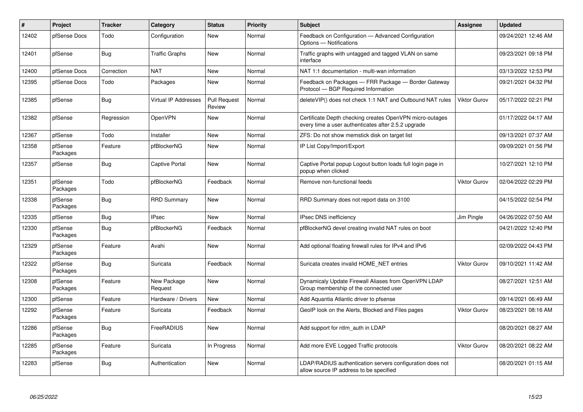| #     | Project             | <b>Tracker</b> | Category                    | <b>Status</b>                 | <b>Priority</b> | <b>Subject</b>                                                                                                  | <b>Assignee</b>     | <b>Updated</b>      |
|-------|---------------------|----------------|-----------------------------|-------------------------------|-----------------|-----------------------------------------------------------------------------------------------------------------|---------------------|---------------------|
| 12402 | pfSense Docs        | Todo           | Configuration               | <b>New</b>                    | Normal          | Feedback on Configuration - Advanced Configuration<br>Options - Notifications                                   |                     | 09/24/2021 12:46 AM |
| 12401 | pfSense             | Bug            | <b>Traffic Graphs</b>       | New                           | Normal          | Traffic graphs with untagged and tagged VLAN on same<br>interface                                               |                     | 09/23/2021 09:18 PM |
| 12400 | pfSense Docs        | Correction     | <b>NAT</b>                  | <b>New</b>                    | Normal          | NAT 1:1 documentation - multi-wan information                                                                   |                     | 03/13/2022 12:53 PM |
| 12395 | pfSense Docs        | Todo           | Packages                    | <b>New</b>                    | Normal          | Feedback on Packages — FRR Package — Border Gateway<br>Protocol - BGP Required Information                      |                     | 09/21/2021 04:32 PM |
| 12385 | pfSense             | Bug            | <b>Virtual IP Addresses</b> | <b>Pull Request</b><br>Review | Normal          | delete VIP() does not check 1:1 NAT and Outbound NAT rules                                                      | Viktor Gurov        | 05/17/2022 02:21 PM |
| 12382 | pfSense             | Regression     | <b>OpenVPN</b>              | New                           | Normal          | Certificate Depth checking creates OpenVPN micro-outages<br>every time a user authenticates after 2.5.2 upgrade |                     | 01/17/2022 04:17 AM |
| 12367 | pfSense             | Todo           | Installer                   | <b>New</b>                    | Normal          | ZFS: Do not show memstick disk on target list                                                                   |                     | 09/13/2021 07:37 AM |
| 12358 | pfSense<br>Packages | Feature        | pfBlockerNG                 | New                           | Normal          | IP List Copy/Import/Export                                                                                      |                     | 09/09/2021 01:56 PM |
| 12357 | pfSense             | Bug            | Captive Portal              | New                           | Normal          | Captive Portal popup Logout button loads full login page in<br>popup when clicked                               |                     | 10/27/2021 12:10 PM |
| 12351 | pfSense<br>Packages | Todo           | pfBlockerNG                 | Feedback                      | Normal          | Remove non-functional feeds                                                                                     | Viktor Gurov        | 02/04/2022 02:29 PM |
| 12338 | pfSense<br>Packages | <b>Bug</b>     | <b>RRD Summary</b>          | <b>New</b>                    | Normal          | RRD Summary does not report data on 3100                                                                        |                     | 04/15/2022 02:54 PM |
| 12335 | pfSense             | <b>Bug</b>     | <b>IPsec</b>                | <b>New</b>                    | Normal          | <b>IPsec DNS inefficiency</b>                                                                                   | Jim Pingle          | 04/26/2022 07:50 AM |
| 12330 | pfSense<br>Packages | Bug            | pfBlockerNG                 | Feedback                      | Normal          | pfBlockerNG devel creating invalid NAT rules on boot                                                            |                     | 04/21/2022 12:40 PM |
| 12329 | pfSense<br>Packages | Feature        | Avahi                       | <b>New</b>                    | Normal          | Add optional floating firewall rules for IPv4 and IPv6                                                          |                     | 02/09/2022 04:43 PM |
| 12322 | pfSense<br>Packages | <b>Bug</b>     | Suricata                    | Feedback                      | Normal          | Suricata creates invalid HOME NET entries                                                                       | <b>Viktor Gurov</b> | 09/10/2021 11:42 AM |
| 12308 | pfSense<br>Packages | Feature        | New Package<br>Request      | <b>New</b>                    | Normal          | Dynamicaly Update Firewall Aliases from OpenVPN LDAP<br>Group membership of the connected user                  |                     | 08/27/2021 12:51 AM |
| 12300 | pfSense             | Feature        | Hardware / Drivers          | <b>New</b>                    | Normal          | Add Aquantia Atlantic driver to pfsense                                                                         |                     | 09/14/2021 06:49 AM |
| 12292 | pfSense<br>Packages | Feature        | Suricata                    | Feedback                      | Normal          | GeoIP look on the Alerts, Blocked and Files pages                                                               | Viktor Gurov        | 08/23/2021 08:16 AM |
| 12286 | pfSense<br>Packages | <b>Bug</b>     | FreeRADIUS                  | <b>New</b>                    | Normal          | Add support for ntlm auth in LDAP                                                                               |                     | 08/20/2021 08:27 AM |
| 12285 | pfSense<br>Packages | Feature        | Suricata                    | In Progress                   | Normal          | Add more EVE Logged Traffic protocols                                                                           | Viktor Gurov        | 08/20/2021 08:22 AM |
| 12283 | pfSense             | <b>Bug</b>     | Authentication              | <b>New</b>                    | Normal          | LDAP/RADIUS authentication servers configuration does not<br>allow source IP address to be specified            |                     | 08/20/2021 01:15 AM |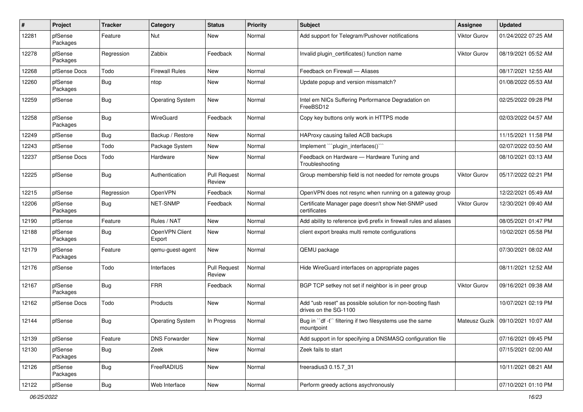| #     | Project             | <b>Tracker</b> | Category                 | <b>Status</b>                 | <b>Priority</b> | <b>Subject</b>                                                                      | <b>Assignee</b>     | <b>Updated</b>      |
|-------|---------------------|----------------|--------------------------|-------------------------------|-----------------|-------------------------------------------------------------------------------------|---------------------|---------------------|
| 12281 | pfSense<br>Packages | Feature        | Nut                      | New                           | Normal          | Add support for Telegram/Pushover notifications                                     | Viktor Gurov        | 01/24/2022 07:25 AM |
| 12278 | pfSense<br>Packages | Regression     | Zabbix                   | Feedback                      | Normal          | Invalid plugin certificates() function name                                         | Viktor Gurov        | 08/19/2021 05:52 AM |
| 12268 | pfSense Docs        | Todo           | <b>Firewall Rules</b>    | New                           | Normal          | Feedback on Firewall - Aliases                                                      |                     | 08/17/2021 12:55 AM |
| 12260 | pfSense<br>Packages | <b>Bug</b>     | ntop                     | New                           | Normal          | Update popup and version missmatch?                                                 |                     | 01/08/2022 05:53 AM |
| 12259 | pfSense             | <b>Bug</b>     | <b>Operating System</b>  | New                           | Normal          | Intel em NICs Suffering Performance Degradation on<br>FreeBSD12                     |                     | 02/25/2022 09:28 PM |
| 12258 | pfSense<br>Packages | <b>Bug</b>     | <b>WireGuard</b>         | Feedback                      | Normal          | Copy key buttons only work in HTTPS mode                                            |                     | 02/03/2022 04:57 AM |
| 12249 | pfSense             | <b>Bug</b>     | Backup / Restore         | New                           | Normal          | HAProxy causing failed ACB backups                                                  |                     | 11/15/2021 11:58 PM |
| 12243 | pfSense             | Todo           | Package System           | New                           | Normal          | Implement "``plugin_interfaces()```                                                 |                     | 02/07/2022 03:50 AM |
| 12237 | pfSense Docs        | Todo           | Hardware                 | New                           | Normal          | Feedback on Hardware - Hardware Tuning and<br>Troubleshooting                       |                     | 08/10/2021 03:13 AM |
| 12225 | pfSense             | <b>Bug</b>     | Authentication           | <b>Pull Request</b><br>Review | Normal          | Group membership field is not needed for remote groups                              | <b>Viktor Gurov</b> | 05/17/2022 02:21 PM |
| 12215 | pfSense             | Regression     | OpenVPN                  | Feedback                      | Normal          | OpenVPN does not resync when running on a gateway group                             |                     | 12/22/2021 05:49 AM |
| 12206 | pfSense<br>Packages | <b>Bug</b>     | NET-SNMP                 | Feedback                      | Normal          | Certificate Manager page doesn't show Net-SNMP used<br>certificates                 | <b>Viktor Gurov</b> | 12/30/2021 09:40 AM |
| 12190 | pfSense             | Feature        | Rules / NAT              | New                           | Normal          | Add ability to reference ipv6 prefix in firewall rules and aliases                  |                     | 08/05/2021 01:47 PM |
| 12188 | pfSense<br>Packages | Bug            | OpenVPN Client<br>Export | New                           | Normal          | client export breaks multi remote configurations                                    |                     | 10/02/2021 05:58 PM |
| 12179 | pfSense<br>Packages | Feature        | qemu-guest-agent         | <b>New</b>                    | Normal          | QEMU package                                                                        |                     | 07/30/2021 08:02 AM |
| 12176 | pfSense             | Todo           | Interfaces               | <b>Pull Request</b><br>Review | Normal          | Hide WireGuard interfaces on appropriate pages                                      |                     | 08/11/2021 12:52 AM |
| 12167 | pfSense<br>Packages | <b>Bug</b>     | <b>FRR</b>               | Feedback                      | Normal          | BGP TCP setkey not set if neighbor is in peer group                                 | Viktor Gurov        | 09/16/2021 09:38 AM |
| 12162 | pfSense Docs        | Todo           | Products                 | New                           | Normal          | Add "usb reset" as possible solution for non-booting flash<br>drives on the SG-1100 |                     | 10/07/2021 02:19 PM |
| 12144 | pfSense             | Bug            | <b>Operating System</b>  | In Progress                   | Normal          | Bug in "df -t" filtering if two filesystems use the same<br>mountpoint              | Mateusz Guzik       | 09/10/2021 10:07 AM |
| 12139 | pfSense             | Feature        | <b>DNS Forwarder</b>     | New                           | Normal          | Add support in for specifying a DNSMASQ configuration file                          |                     | 07/16/2021 09:45 PM |
| 12130 | pfSense<br>Packages | Bug            | Zeek                     | New                           | Normal          | Zeek fails to start                                                                 |                     | 07/15/2021 02:00 AM |
| 12126 | pfSense<br>Packages | <b>Bug</b>     | FreeRADIUS               | New                           | Normal          | freeradius3 0.15.7_31                                                               |                     | 10/11/2021 08:21 AM |
| 12122 | pfSense             | Bug            | Web Interface            | New                           | Normal          | Perform greedy actions asychronously                                                |                     | 07/10/2021 01:10 PM |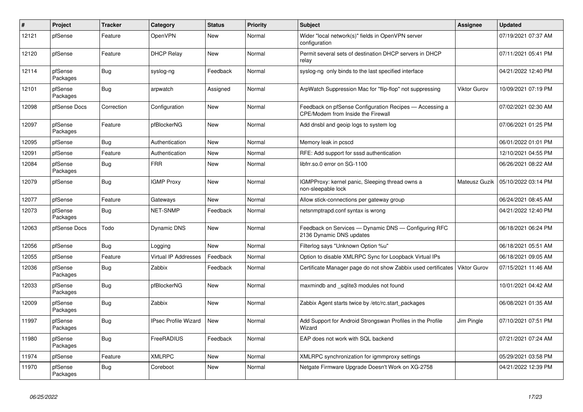| $\#$  | Project             | <b>Tracker</b> | Category                    | <b>Status</b> | <b>Priority</b> | <b>Subject</b>                                                                                       | <b>Assignee</b>     | <b>Updated</b>      |
|-------|---------------------|----------------|-----------------------------|---------------|-----------------|------------------------------------------------------------------------------------------------------|---------------------|---------------------|
| 12121 | pfSense             | Feature        | <b>OpenVPN</b>              | <b>New</b>    | Normal          | Wider "local network(s)" fields in OpenVPN server<br>configuration                                   |                     | 07/19/2021 07:37 AM |
| 12120 | pfSense             | Feature        | <b>DHCP Relay</b>           | <b>New</b>    | Normal          | Permit several sets of destination DHCP servers in DHCP<br>relav                                     |                     | 07/11/2021 05:41 PM |
| 12114 | pfSense<br>Packages | <b>Bug</b>     | syslog-ng                   | Feedback      | Normal          | syslog-ng only binds to the last specified interface                                                 |                     | 04/21/2022 12:40 PM |
| 12101 | pfSense<br>Packages | <b>Bug</b>     | arpwatch                    | Assigned      | Normal          | ArpWatch Suppression Mac for "flip-flop" not suppressing                                             | Viktor Gurov        | 10/09/2021 07:19 PM |
| 12098 | pfSense Docs        | Correction     | Configuration               | <b>New</b>    | Normal          | Feedback on pfSense Configuration Recipes - Accessing a<br><b>CPE/Modem from Inside the Firewall</b> |                     | 07/02/2021 02:30 AM |
| 12097 | pfSense<br>Packages | Feature        | pfBlockerNG                 | <b>New</b>    | Normal          | Add dnsbl and geoip logs to system log                                                               |                     | 07/06/2021 01:25 PM |
| 12095 | pfSense             | Bug            | Authentication              | <b>New</b>    | Normal          | Memory leak in pcscd                                                                                 |                     | 06/01/2022 01:01 PM |
| 12091 | pfSense             | Feature        | Authentication              | <b>New</b>    | Normal          | RFE: Add support for sssd authentication                                                             |                     | 12/10/2021 04:55 PM |
| 12084 | pfSense<br>Packages | Bug            | <b>FRR</b>                  | <b>New</b>    | Normal          | libfrr.so.0 error on SG-1100                                                                         |                     | 06/26/2021 08:22 AM |
| 12079 | pfSense             | <b>Bug</b>     | <b>IGMP Proxy</b>           | <b>New</b>    | Normal          | <b>IGMPProxy: kernel panic, Sleeping thread owns a</b><br>non-sleepable lock                         | Mateusz Guzik       | 05/10/2022 03:14 PM |
| 12077 | pfSense             | Feature        | Gateways                    | New           | Normal          | Allow stick-connections per gateway group                                                            |                     | 06/24/2021 08:45 AM |
| 12073 | pfSense<br>Packages | <b>Bug</b>     | NET-SNMP                    | Feedback      | Normal          | netsnmptrapd.conf syntax is wrong                                                                    |                     | 04/21/2022 12:40 PM |
| 12063 | pfSense Docs        | Todo           | Dynamic DNS                 | <b>New</b>    | Normal          | Feedback on Services - Dynamic DNS - Configuring RFC<br>2136 Dynamic DNS updates                     |                     | 06/18/2021 06:24 PM |
| 12056 | pfSense             | Bug            | Logging                     | <b>New</b>    | Normal          | Filterlog says "Unknown Option %u"                                                                   |                     | 06/18/2021 05:51 AM |
| 12055 | pfSense             | Feature        | <b>Virtual IP Addresses</b> | Feedback      | Normal          | Option to disable XMLRPC Sync for Loopback Virtual IPs                                               |                     | 06/18/2021 09:05 AM |
| 12036 | pfSense<br>Packages | Bug            | Zabbix                      | Feedback      | Normal          | Certificate Manager page do not show Zabbix used certificates                                        | <b>Viktor Gurov</b> | 07/15/2021 11:46 AM |
| 12033 | pfSense<br>Packages | Bug            | pfBlockerNG                 | <b>New</b>    | Normal          | maxmindb and _sqlite3 modules not found                                                              |                     | 10/01/2021 04:42 AM |
| 12009 | pfSense<br>Packages | Bug            | Zabbix                      | <b>New</b>    | Normal          | Zabbix Agent starts twice by /etc/rc.start packages                                                  |                     | 06/08/2021 01:35 AM |
| 11997 | pfSense<br>Packages | <b>Bug</b>     | <b>IPsec Profile Wizard</b> | <b>New</b>    | Normal          | Add Support for Android Strongswan Profiles in the Profile<br>Wizard                                 | Jim Pingle          | 07/10/2021 07:51 PM |
| 11980 | pfSense<br>Packages | Bug            | FreeRADIUS                  | Feedback      | Normal          | EAP does not work with SQL backend                                                                   |                     | 07/21/2021 07:24 AM |
| 11974 | pfSense             | Feature        | <b>XMLRPC</b>               | <b>New</b>    | Normal          | XMLRPC synchronization for igmmproxy settings                                                        |                     | 05/29/2021 03:58 PM |
| 11970 | pfSense<br>Packages | Bug            | Coreboot                    | <b>New</b>    | Normal          | Netgate Firmware Upgrade Doesn't Work on XG-2758                                                     |                     | 04/21/2022 12:39 PM |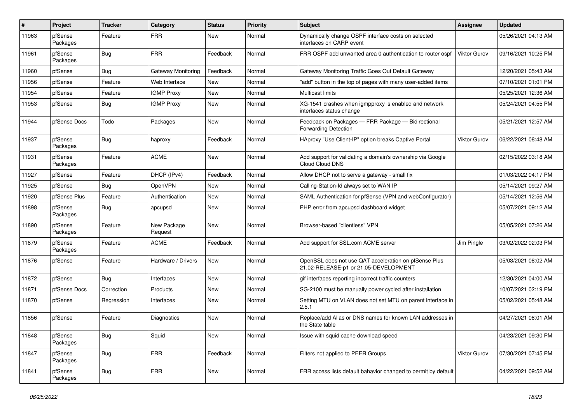| #     | Project             | <b>Tracker</b> | Category               | <b>Status</b> | Priority | <b>Subject</b>                                                                                 | <b>Assignee</b>     | <b>Updated</b>      |
|-------|---------------------|----------------|------------------------|---------------|----------|------------------------------------------------------------------------------------------------|---------------------|---------------------|
| 11963 | pfSense<br>Packages | Feature        | <b>FRR</b>             | New           | Normal   | Dynamically change OSPF interface costs on selected<br>interfaces on CARP event                |                     | 05/26/2021 04:13 AM |
| 11961 | pfSense<br>Packages | Bug            | <b>FRR</b>             | Feedback      | Normal   | FRR OSPF add unwanted area 0 authentication to router ospf                                     | <b>Viktor Gurov</b> | 09/16/2021 10:25 PM |
| 11960 | pfSense             | <b>Bug</b>     | Gateway Monitoring     | Feedback      | Normal   | Gateway Monitoring Traffic Goes Out Default Gateway                                            |                     | 12/20/2021 05:43 AM |
| 11956 | pfSense             | Feature        | Web Interface          | New           | Normal   | "add" button in the top of pages with many user-added items                                    |                     | 07/10/2021 01:01 PM |
| 11954 | pfSense             | Feature        | <b>IGMP Proxy</b>      | New           | Normal   | Multicast limits                                                                               |                     | 05/25/2021 12:36 AM |
| 11953 | pfSense             | Bug            | <b>IGMP Proxy</b>      | New           | Normal   | XG-1541 crashes when igmpproxy is enabled and network<br>interfaces status change              |                     | 05/24/2021 04:55 PM |
| 11944 | pfSense Docs        | Todo           | Packages               | New           | Normal   | Feedback on Packages - FRR Package - Bidirectional<br><b>Forwarding Detection</b>              |                     | 05/21/2021 12:57 AM |
| 11937 | pfSense<br>Packages | <b>Bug</b>     | haproxy                | Feedback      | Normal   | HAproxy "Use Client-IP" option breaks Captive Portal                                           | <b>Viktor Gurov</b> | 06/22/2021 08:48 AM |
| 11931 | pfSense<br>Packages | Feature        | <b>ACME</b>            | New           | Normal   | Add support for validating a domain's ownership via Google<br>Cloud Cloud DNS                  |                     | 02/15/2022 03:18 AM |
| 11927 | pfSense             | Feature        | DHCP (IPv4)            | Feedback      | Normal   | Allow DHCP not to serve a gateway - small fix                                                  |                     | 01/03/2022 04:17 PM |
| 11925 | pfSense             | Bug            | <b>OpenVPN</b>         | New           | Normal   | Calling-Station-Id always set to WAN IP                                                        |                     | 05/14/2021 09:27 AM |
| 11920 | pfSense Plus        | Feature        | Authentication         | New           | Normal   | SAML Authentication for pfSense (VPN and webConfigurator)                                      |                     | 05/14/2021 12:56 AM |
| 11898 | pfSense<br>Packages | Bug            | apcupsd                | New           | Normal   | PHP error from apcupsd dashboard widget                                                        |                     | 05/07/2021 09:12 AM |
| 11890 | pfSense<br>Packages | Feature        | New Package<br>Request | New           | Normal   | Browser-based "clientless" VPN                                                                 |                     | 05/05/2021 07:26 AM |
| 11879 | pfSense<br>Packages | Feature        | <b>ACME</b>            | Feedback      | Normal   | Add support for SSL.com ACME server                                                            | Jim Pingle          | 03/02/2022 02:03 PM |
| 11876 | pfSense             | Feature        | Hardware / Drivers     | New           | Normal   | OpenSSL does not use QAT acceleration on pfSense Plus<br>21.02-RELEASE-p1 or 21.05-DEVELOPMENT |                     | 05/03/2021 08:02 AM |
| 11872 | pfSense             | Bug            | Interfaces             | <b>New</b>    | Normal   | gif interfaces reporting incorrect traffic counters                                            |                     | 12/30/2021 04:00 AM |
| 11871 | pfSense Docs        | Correction     | Products               | New           | Normal   | SG-2100 must be manually power cycled after installation                                       |                     | 10/07/2021 02:19 PM |
| 11870 | pfSense             | Regression     | Interfaces             | New           | Normal   | Setting MTU on VLAN does not set MTU on parent interface in<br>2.5.1                           |                     | 05/02/2021 05:48 AM |
| 11856 | pfSense             | Feature        | Diagnostics            | New           | Normal   | Replace/add Alias or DNS names for known LAN addresses in<br>the State table                   |                     | 04/27/2021 08:01 AM |
| 11848 | pfSense<br>Packages | Bug            | Squid                  | New           | Normal   | Issue with squid cache download speed                                                          |                     | 04/23/2021 09:30 PM |
| 11847 | pfSense<br>Packages | <b>Bug</b>     | <b>FRR</b>             | Feedback      | Normal   | Filters not applied to PEER Groups                                                             | Viktor Gurov        | 07/30/2021 07:45 PM |
| 11841 | pfSense<br>Packages | Bug            | <b>FRR</b>             | New           | Normal   | FRR access lists default bahavior changed to permit by default                                 |                     | 04/22/2021 09:52 AM |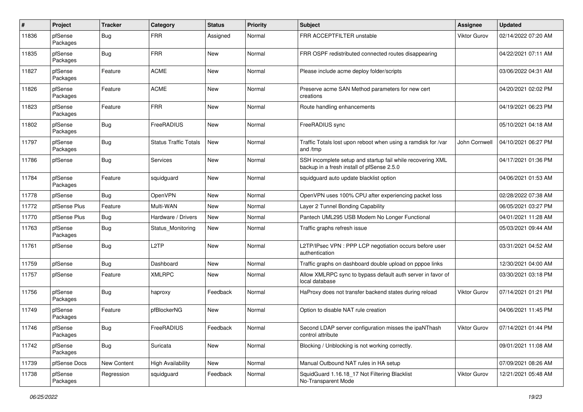| #     | Project             | <b>Tracker</b> | Category                     | <b>Status</b> | <b>Priority</b> | <b>Subject</b>                                                                                           | <b>Assignee</b>     | <b>Updated</b>      |
|-------|---------------------|----------------|------------------------------|---------------|-----------------|----------------------------------------------------------------------------------------------------------|---------------------|---------------------|
| 11836 | pfSense<br>Packages | <b>Bug</b>     | <b>FRR</b>                   | Assigned      | Normal          | FRR ACCEPTFILTER unstable                                                                                | <b>Viktor Gurov</b> | 02/14/2022 07:20 AM |
| 11835 | pfSense<br>Packages | Bug            | FRR                          | <b>New</b>    | Normal          | FRR OSPF redistributed connected routes disappearing                                                     |                     | 04/22/2021 07:11 AM |
| 11827 | pfSense<br>Packages | Feature        | <b>ACME</b>                  | New           | Normal          | Please include acme deploy folder/scripts                                                                |                     | 03/06/2022 04:31 AM |
| 11826 | pfSense<br>Packages | Feature        | <b>ACME</b>                  | <b>New</b>    | Normal          | Preserve acme SAN Method parameters for new cert<br>creations                                            |                     | 04/20/2021 02:02 PM |
| 11823 | pfSense<br>Packages | Feature        | <b>FRR</b>                   | New           | Normal          | Route handling enhancements                                                                              |                     | 04/19/2021 06:23 PM |
| 11802 | pfSense<br>Packages | <b>Bug</b>     | FreeRADIUS                   | <b>New</b>    | Normal          | FreeRADIUS sync                                                                                          |                     | 05/10/2021 04:18 AM |
| 11797 | pfSense<br>Packages | Bug            | <b>Status Traffic Totals</b> | New           | Normal          | Traffic Totals lost upon reboot when using a ramdisk for /var<br>and /tmp                                | John Cornwell       | 04/10/2021 06:27 PM |
| 11786 | pfSense             | <b>Bug</b>     | Services                     | New           | Normal          | SSH incomplete setup and startup fail while recovering XML<br>backup in a fresh install of pfSense 2.5.0 |                     | 04/17/2021 01:36 PM |
| 11784 | pfSense<br>Packages | Feature        | squidguard                   | New           | Normal          | squidguard auto update blacklist option                                                                  |                     | 04/06/2021 01:53 AM |
| 11778 | pfSense             | <b>Bug</b>     | OpenVPN                      | <b>New</b>    | Normal          | OpenVPN uses 100% CPU after experiencing packet loss                                                     |                     | 02/28/2022 07:38 AM |
| 11772 | pfSense Plus        | Feature        | Multi-WAN                    | New           | Normal          | Layer 2 Tunnel Bonding Capability                                                                        |                     | 06/05/2021 03:27 PM |
| 11770 | pfSense Plus        | <b>Bug</b>     | Hardware / Drivers           | <b>New</b>    | Normal          | Pantech UML295 USB Modem No Longer Functional                                                            |                     | 04/01/2021 11:28 AM |
| 11763 | pfSense<br>Packages | <b>Bug</b>     | Status Monitoring            | New           | Normal          | Traffic graphs refresh issue                                                                             |                     | 05/03/2021 09:44 AM |
| 11761 | pfSense             | Bug            | L <sub>2</sub> TP            | New           | Normal          | L2TP/IPsec VPN : PPP LCP negotiation occurs before user<br>authentication                                |                     | 03/31/2021 04:52 AM |
| 11759 | pfSense             | Bug            | Dashboard                    | New           | Normal          | Traffic graphs on dashboard double upload on pppoe links                                                 |                     | 12/30/2021 04:00 AM |
| 11757 | pfSense             | Feature        | <b>XMLRPC</b>                | New           | Normal          | Allow XMLRPC sync to bypass default auth server in favor of<br>local database                            |                     | 03/30/2021 03:18 PM |
| 11756 | pfSense<br>Packages | <b>Bug</b>     | haproxy                      | Feedback      | Normal          | HaProxy does not transfer backend states during reload                                                   | Viktor Gurov        | 07/14/2021 01:21 PM |
| 11749 | pfSense<br>Packages | Feature        | pfBlockerNG                  | New           | Normal          | Option to disable NAT rule creation                                                                      |                     | 04/06/2021 11:45 PM |
| 11746 | pfSense<br>Packages | i Bug          | FreeRADIUS                   | Feedback      | Normal          | Second LDAP server configuration misses the ipaNThash<br>control attribute                               | <b>Viktor Gurov</b> | 07/14/2021 01:44 PM |
| 11742 | pfSense<br>Packages | <b>Bug</b>     | Suricata                     | New           | Normal          | Blocking / Unblocking is not working correctly.                                                          |                     | 09/01/2021 11:08 AM |
| 11739 | pfSense Docs        | New Content    | <b>High Availability</b>     | New           | Normal          | Manual Outbound NAT rules in HA setup                                                                    |                     | 07/09/2021 08:26 AM |
| 11738 | pfSense<br>Packages | Regression     | squidguard                   | Feedback      | Normal          | SquidGuard 1.16.18_17 Not Filtering Blacklist<br>No-Transparent Mode                                     | Viktor Gurov        | 12/21/2021 05:48 AM |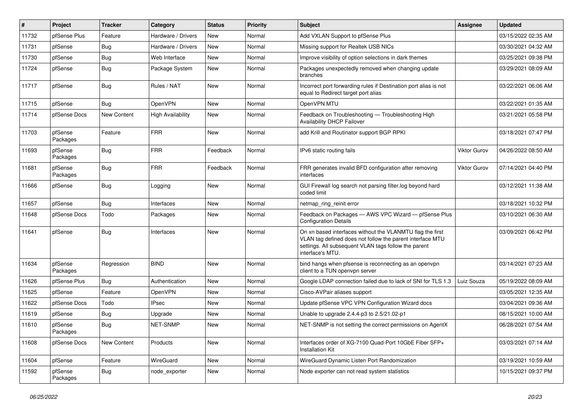| $\vert$ # | Project             | <b>Tracker</b> | Category                 | <b>Status</b> | Priority | Subject                                                                                                                                                                                            | <b>Assignee</b>     | <b>Updated</b>      |
|-----------|---------------------|----------------|--------------------------|---------------|----------|----------------------------------------------------------------------------------------------------------------------------------------------------------------------------------------------------|---------------------|---------------------|
| 11732     | pfSense Plus        | Feature        | Hardware / Drivers       | New           | Normal   | Add VXLAN Support to pfSense Plus                                                                                                                                                                  |                     | 03/15/2022 02:35 AM |
| 11731     | pfSense             | <b>Bug</b>     | Hardware / Drivers       | <b>New</b>    | Normal   | Missing support for Realtek USB NICs                                                                                                                                                               |                     | 03/30/2021 04:32 AM |
| 11730     | pfSense             | <b>Bug</b>     | Web Interface            | New           | Normal   | Improve visibility of option selections in dark themes                                                                                                                                             |                     | 03/25/2021 09:38 PM |
| 11724     | pfSense             | <b>Bug</b>     | Package System           | New           | Normal   | Packages unexpectedly removed when changing update<br>branches                                                                                                                                     |                     | 03/29/2021 08:09 AM |
| 11717     | pfSense             | Bug            | Rules / NAT              | New           | Normal   | Incorrect port forwarding rules if Destination port alias is not<br>equal to Redirect target port alias                                                                                            |                     | 03/22/2021 06:06 AM |
| 11715     | pfSense             | Bug            | OpenVPN                  | <b>New</b>    | Normal   | OpenVPN MTU                                                                                                                                                                                        |                     | 03/22/2021 01:35 AM |
| 11714     | pfSense Docs        | New Content    | <b>High Availability</b> | New           | Normal   | Feedback on Troubleshooting - Troubleshooting High<br>Availability DHCP Failover                                                                                                                   |                     | 03/21/2021 05:58 PM |
| 11703     | pfSense<br>Packages | Feature        | <b>FRR</b>               | <b>New</b>    | Normal   | add Krill and Routinator support BGP RPKI                                                                                                                                                          |                     | 03/18/2021 07:47 PM |
| 11693     | pfSense<br>Packages | Bug            | <b>FRR</b>               | Feedback      | Normal   | IPv6 static routing fails                                                                                                                                                                          | <b>Viktor Gurov</b> | 04/26/2022 08:50 AM |
| 11681     | pfSense<br>Packages | <b>Bug</b>     | <b>FRR</b>               | Feedback      | Normal   | FRR generates invalid BFD configuration after removing<br>interfaces                                                                                                                               | <b>Viktor Gurov</b> | 07/14/2021 04:40 PM |
| 11666     | pfSense             | Bug            | Logging                  | New           | Normal   | GUI Firewall log search not parsing filter.log beyond hard<br>coded limit                                                                                                                          |                     | 03/12/2021 11:38 AM |
| 11657     | pfSense             | Bug            | Interfaces               | New           | Normal   | netmap ring reinit error                                                                                                                                                                           |                     | 03/18/2021 10:32 PM |
| 11648     | pfSense Docs        | Todo           | Packages                 | New           | Normal   | Feedback on Packages - AWS VPC Wizard - pfSense Plus<br><b>Configuration Details</b>                                                                                                               |                     | 03/10/2021 06:30 AM |
| 11641     | pfSense             | Bug            | Interfaces               | New           | Normal   | On xn based interfaces without the VLANMTU flag the first<br>VLAN tag defined does not follow the parent interface MTU<br>settings. All subsequent VLAN tags follow the parent<br>interface's MTU. |                     | 03/09/2021 06:42 PM |
| 11634     | pfSense<br>Packages | Regression     | <b>BIND</b>              | <b>New</b>    | Normal   | bind hangs when pfsense is reconnecting as an openvpn<br>client to a TUN openvpn server                                                                                                            |                     | 03/14/2021 07:23 AM |
| 11626     | pfSense Plus        | Bug            | Authentication           | New           | Normal   | Google LDAP connection failed due to lack of SNI for TLS 1.3                                                                                                                                       | Luiz Souza          | 05/19/2022 08:09 AM |
| 11625     | pfSense             | Feature        | <b>OpenVPN</b>           | New           | Normal   | Cisco-AVPair aliases support                                                                                                                                                                       |                     | 03/05/2021 12:35 AM |
| 11622     | pfSense Docs        | Todo           | <b>IPsec</b>             | New           | Normal   | Update pfSense VPC VPN Configuration Wizard docs                                                                                                                                                   |                     | 03/04/2021 09:36 AM |
| 11619     | pfSense             | <b>Bug</b>     | Upgrade                  | New           | Normal   | Unable to upgrade 2.4.4-p3 to 2.5/21.02-p1                                                                                                                                                         |                     | 08/15/2021 10:00 AM |
| 11610     | pfSense<br>Packages | Bug            | NET-SNMP                 | New           | Normal   | NET-SNMP is not setting the correct permissions on AgentX                                                                                                                                          |                     | 06/28/2021 07:54 AM |
| 11608     | pfSense Docs        | New Content    | Products                 | <b>New</b>    | Normal   | Interfaces order of XG-7100 Quad-Port 10GbE Fiber SFP+<br><b>Installation Kit</b>                                                                                                                  |                     | 03/03/2021 07:14 AM |
| 11604     | pfSense             | Feature        | WireGuard                | New           | Normal   | WireGuard Dynamic Listen Port Randomization                                                                                                                                                        |                     | 03/19/2021 10:59 AM |
| 11592     | pfSense<br>Packages | Bug            | node_exporter            | New           | Normal   | Node exporter can not read system statistics                                                                                                                                                       |                     | 10/15/2021 09:37 PM |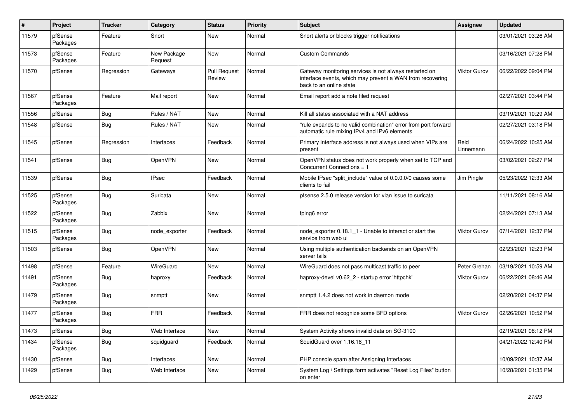| $\vert$ # | Project             | <b>Tracker</b> | Category               | <b>Status</b>                 | <b>Priority</b> | <b>Subject</b>                                                                                                                                 | Assignee            | <b>Updated</b>      |
|-----------|---------------------|----------------|------------------------|-------------------------------|-----------------|------------------------------------------------------------------------------------------------------------------------------------------------|---------------------|---------------------|
| 11579     | pfSense<br>Packages | Feature        | Snort                  | New                           | Normal          | Snort alerts or blocks trigger notifications                                                                                                   |                     | 03/01/2021 03:26 AM |
| 11573     | pfSense<br>Packages | Feature        | New Package<br>Request | <b>New</b>                    | Normal          | <b>Custom Commands</b>                                                                                                                         |                     | 03/16/2021 07:28 PM |
| 11570     | pfSense             | Regression     | Gateways               | <b>Pull Request</b><br>Review | Normal          | Gateway monitoring services is not always restarted on<br>interface events, which may prevent a WAN from recovering<br>back to an online state | Viktor Gurov        | 06/22/2022 09:04 PM |
| 11567     | pfSense<br>Packages | Feature        | Mail report            | <b>New</b>                    | Normal          | Email report add a note filed request                                                                                                          |                     | 02/27/2021 03:44 PM |
| 11556     | pfSense             | <b>Bug</b>     | Rules / NAT            | New                           | Normal          | Kill all states associated with a NAT address                                                                                                  |                     | 03/19/2021 10:29 AM |
| 11548     | pfSense             | Bug            | Rules / NAT            | New                           | Normal          | "rule expands to no valid combination" error from port forward<br>automatic rule mixing IPv4 and IPv6 elements                                 |                     | 02/27/2021 03:18 PM |
| 11545     | pfSense             | Regression     | Interfaces             | Feedback                      | Normal          | Primary interface address is not always used when VIPs are<br>present                                                                          | Reid<br>Linnemann   | 06/24/2022 10:25 AM |
| 11541     | pfSense             | <b>Bug</b>     | OpenVPN                | <b>New</b>                    | Normal          | OpenVPN status does not work properly when set to TCP and<br>Concurrent Connections = 1                                                        |                     | 03/02/2021 02:27 PM |
| 11539     | pfSense             | <b>Bug</b>     | <b>IPsec</b>           | Feedback                      | Normal          | Mobile IPsec "split include" value of 0.0.0.0/0 causes some<br>clients to fail                                                                 | Jim Pingle          | 05/23/2022 12:33 AM |
| 11525     | pfSense<br>Packages | Bug            | Suricata               | New                           | Normal          | pfsense 2.5.0 release version for vlan issue to suricata                                                                                       |                     | 11/11/2021 08:16 AM |
| 11522     | pfSense<br>Packages | <b>Bug</b>     | Zabbix                 | New                           | Normal          | fping6 error                                                                                                                                   |                     | 02/24/2021 07:13 AM |
| 11515     | pfSense<br>Packages | <b>Bug</b>     | node exporter          | Feedback                      | Normal          | node exporter 0.18.1 1 - Unable to interact or start the<br>service from web ui                                                                | <b>Viktor Gurov</b> | 07/14/2021 12:37 PM |
| 11503     | pfSense             | <b>Bug</b>     | <b>OpenVPN</b>         | <b>New</b>                    | Normal          | Using multiple authentication backends on an OpenVPN<br>server fails                                                                           |                     | 02/23/2021 12:23 PM |
| 11498     | pfSense             | Feature        | WireGuard              | <b>New</b>                    | Normal          | WireGuard does not pass multicast traffic to peer                                                                                              | Peter Grehan        | 03/19/2021 10:59 AM |
| 11491     | pfSense<br>Packages | <b>Bug</b>     | haproxy                | Feedback                      | Normal          | haproxy-devel v0.62_2 - startup error 'httpchk'                                                                                                | <b>Viktor Gurov</b> | 06/22/2021 08:46 AM |
| 11479     | pfSense<br>Packages | Bug            | snmptt                 | <b>New</b>                    | Normal          | snmptt 1.4.2 does not work in daemon mode                                                                                                      |                     | 02/20/2021 04:37 PM |
| 11477     | pfSense<br>Packages | <b>Bug</b>     | <b>FRR</b>             | Feedback                      | Normal          | FRR does not recognize some BFD options                                                                                                        | <b>Viktor Gurov</b> | 02/26/2021 10:52 PM |
| 11473     | pfSense             | <b>Bug</b>     | Web Interface          | <b>New</b>                    | Normal          | System Activity shows invalid data on SG-3100                                                                                                  |                     | 02/19/2021 08:12 PM |
| 11434     | pfSense<br>Packages | Bug            | squidguard             | Feedback                      | Normal          | SquidGuard over 1.16.18 11                                                                                                                     |                     | 04/21/2022 12:40 PM |
| 11430     | pfSense             | <b>Bug</b>     | Interfaces             | <b>New</b>                    | Normal          | PHP console spam after Assigning Interfaces                                                                                                    |                     | 10/09/2021 10:37 AM |
| 11429     | pfSense             | Bug            | Web Interface          | <b>New</b>                    | Normal          | System Log / Settings form activates "Reset Log Files" button<br>on enter                                                                      |                     | 10/28/2021 01:35 PM |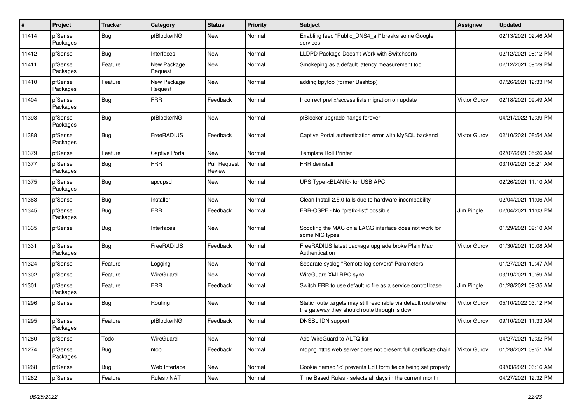| $\sharp$ | Project             | <b>Tracker</b> | Category               | <b>Status</b>                 | <b>Priority</b> | <b>Subject</b>                                                                                                   | <b>Assignee</b>     | <b>Updated</b>      |
|----------|---------------------|----------------|------------------------|-------------------------------|-----------------|------------------------------------------------------------------------------------------------------------------|---------------------|---------------------|
| 11414    | pfSense<br>Packages | Bug            | pfBlockerNG            | New                           | Normal          | Enabling feed "Public_DNS4_all" breaks some Google<br>services                                                   |                     | 02/13/2021 02:46 AM |
| 11412    | pfSense             | Bug            | Interfaces             | New                           | Normal          | LLDPD Package Doesn't Work with Switchports                                                                      |                     | 02/12/2021 08:12 PM |
| 11411    | pfSense<br>Packages | Feature        | New Package<br>Request | New                           | Normal          | Smokeping as a default latency measurement tool                                                                  |                     | 02/12/2021 09:29 PM |
| 11410    | pfSense<br>Packages | Feature        | New Package<br>Request | New                           | Normal          | adding bpytop (former Bashtop)                                                                                   |                     | 07/26/2021 12:33 PM |
| 11404    | pfSense<br>Packages | Bug            | <b>FRR</b>             | Feedback                      | Normal          | Incorrect prefix/access lists migration on update                                                                | <b>Viktor Gurov</b> | 02/18/2021 09:49 AM |
| 11398    | pfSense<br>Packages | Bug            | pfBlockerNG            | New                           | Normal          | pfBlocker upgrade hangs forever                                                                                  |                     | 04/21/2022 12:39 PM |
| 11388    | pfSense<br>Packages | <b>Bug</b>     | FreeRADIUS             | Feedback                      | Normal          | Captive Portal authentication error with MySQL backend                                                           | <b>Viktor Gurov</b> | 02/10/2021 08:54 AM |
| 11379    | pfSense             | Feature        | <b>Captive Portal</b>  | <b>New</b>                    | Normal          | <b>Template Roll Printer</b>                                                                                     |                     | 02/07/2021 05:26 AM |
| 11377    | pfSense<br>Packages | Bug            | <b>FRR</b>             | <b>Pull Request</b><br>Review | Normal          | FRR deinstall                                                                                                    |                     | 03/10/2021 08:21 AM |
| 11375    | pfSense<br>Packages | Bug            | apcupsd                | New                           | Normal          | UPS Type <blank> for USB APC</blank>                                                                             |                     | 02/26/2021 11:10 AM |
| 11363    | pfSense             | Bug            | Installer              | New                           | Normal          | Clean Install 2.5.0 fails due to hardware incompability                                                          |                     | 02/04/2021 11:06 AM |
| 11345    | pfSense<br>Packages | <b>Bug</b>     | <b>FRR</b>             | Feedback                      | Normal          | FRR-OSPF - No "prefix-list" possible                                                                             | Jim Pingle          | 02/04/2021 11:03 PM |
| 11335    | pfSense             | Bug            | Interfaces             | New                           | Normal          | Spoofing the MAC on a LAGG interface does not work for<br>some NIC types.                                        |                     | 01/29/2021 09:10 AM |
| 11331    | pfSense<br>Packages | <b>Bug</b>     | FreeRADIUS             | Feedback                      | Normal          | FreeRADIUS latest package upgrade broke Plain Mac<br>Authentication                                              | Viktor Gurov        | 01/30/2021 10:08 AM |
| 11324    | pfSense             | Feature        | Logging                | New                           | Normal          | Separate syslog "Remote log servers" Parameters                                                                  |                     | 01/27/2021 10:47 AM |
| 11302    | pfSense             | Feature        | <b>WireGuard</b>       | New                           | Normal          | WireGuard XMLRPC sync                                                                                            |                     | 03/19/2021 10:59 AM |
| 11301    | pfSense<br>Packages | Feature        | <b>FRR</b>             | Feedback                      | Normal          | Switch FRR to use default rc file as a service control base                                                      | Jim Pingle          | 01/28/2021 09:35 AM |
| 11296    | pfSense             | Bug            | Routing                | New                           | Normal          | Static route targets may still reachable via default route when<br>the gateway they should route through is down | <b>Viktor Gurov</b> | 05/10/2022 03:12 PM |
| 11295    | pfSense<br>Packages | Feature        | pfBlockerNG            | Feedback                      | Normal          | DNSBL IDN support                                                                                                | Viktor Gurov        | 09/10/2021 11:33 AM |
| 11280    | pfSense             | Todo           | WireGuard              | New                           | Normal          | Add WireGuard to ALTQ list                                                                                       |                     | 04/27/2021 12:32 PM |
| 11274    | pfSense<br>Packages | Bug            | ntop                   | Feedback                      | Normal          | ntopng https web server does not present full certificate chain                                                  | Viktor Gurov        | 01/28/2021 09:51 AM |
| 11268    | pfSense             | <b>Bug</b>     | Web Interface          | New                           | Normal          | Cookie named 'id' prevents Edit form fields being set properly                                                   |                     | 09/03/2021 06:16 AM |
| 11262    | pfSense             | Feature        | Rules / NAT            | New                           | Normal          | Time Based Rules - selects all days in the current month                                                         |                     | 04/27/2021 12:32 PM |